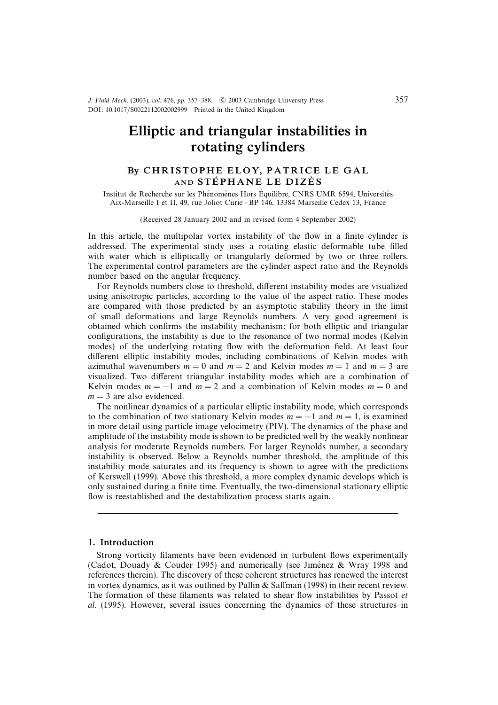J. Fluid Mech. (2003), vol. 476, pp. 357-388. © 2003 Cambridge University Press DOI: 10.1017/S0022112002002999 Printed in the United Kingdom

# Elliptic and triangular instabilities in rotating cylinders

# By CHRISTOPHE ELOY, PATRICE LE GAL AND STÉPHANE LE DIZÈS

Institut de Recherche sur les Phénomènes Hors Équilibre, CNRS UMR 6594, Universités Aix-Marseille I et II, 49, rue Joliot Curie – BP 146, 13384 Marseille Cedex 13, France

(Received 28 January 2002 and in revised form 4 September 2002)

In this article, the multipolar vortex instability of the flow in a finite cylinder is addressed. The experimental study uses a rotating elastic deformable tube filled with water which is elliptically or triangularly deformed by two or three rollers. The experimental control parameters are the cylinder aspect ratio and the Reynolds number based on the angular frequency.

For Reynolds numbers close to threshold, different instability modes are visualized using anisotropic particles, according to the value of the aspect ratio. These modes are compared with those predicted by an asymptotic stability theory in the limit of small deformations and large Reynolds numbers. A very good agreement is obtained which confirms the instability mechanism; for both elliptic and triangular configurations, the instability is due to the resonance of two normal modes (Kelvin modes) of the underlying rotating flow with the deformation field. At least four different elliptic instability modes, including combinations of Kelvin modes with azimuthal wavenumbers  $m = 0$  and  $m = 2$  and Kelvin modes  $m = 1$  and  $m = 3$  are visualized. Two different triangular instability modes which are a combination of Kelvin modes  $m = -1$  and  $m = 2$  and a combination of Kelvin modes  $m = 0$  and  $m = 3$  are also evidenced.

The nonlinear dynamics of a particular elliptic instability mode, which corresponds to the combination of two stationary Kelvin modes  $m = -1$  and  $m = 1$ , is examined in more detail using particle image velocimetry (PIV). The dynamics of the phase and amplitude of the instability mode is shown to be predicted well by the weakly nonlinear analysis for moderate Reynolds numbers. For larger Reynolds number, a secondary instability is observed. Below a Reynolds number threshold, the amplitude of this instability mode saturates and its frequency is shown to agree with the predictions of Kerswell (1999). Above this threshold, a more complex dynamic develops which is only sustained during a finite time. Eventually, the two-dimensional stationary elliptic flow is reestablished and the destabilization process starts again.

## 1. Introduction

Strong vorticity filaments have been evidenced in turbulent flows experimentally (Cadot, Douady & Couder 1995) and numerically (see Jiménez & Wray 1998 and references therein). The discovery of these coherent structures has renewed the interest in vortex dynamics, as it was outlined by Pullin  $&$  Saffman (1998) in their recent review. The formation of these filaments was related to shear flow instabilities by Passot et al. (1995). However, several issues concerning the dynamics of these structures in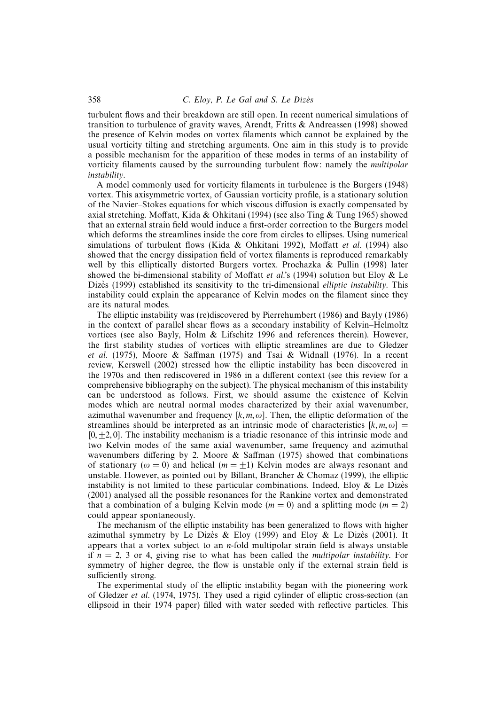turbulent flows and their breakdown are still open. In recent numerical simulations of transition to turbulence of gravity waves, Arendt, Fritts & Andreassen (1998) showed the presence of Kelvin modes on vortex filaments which cannot be explained by the usual vorticity tilting and stretching arguments. One aim in this study is to provide a possible mechanism for the apparition of these modes in terms of an instability of vorticity filaments caused by the surrounding turbulent flow: namely the multipolar instability.

A model commonly used for vorticity filaments in turbulence is the Burgers (1948) vortex. This axisymmetric vortex, of Gaussian vorticity profile, is a stationary solution of the Navier–Stokes equations for which viscous diffusion is exactly compensated by axial stretching. Moffatt, Kida & Ohkitani (1994) (see also Ting & Tung 1965) showed that an external strain field would induce a first-order correction to the Burgers model which deforms the streamlines inside the core from circles to ellipses. Using numerical simulations of turbulent flows (Kida & Ohkitani 1992), Moffatt *et al.* (1994) also showed that the energy dissipation field of vortex filaments is reproduced remarkably well by this elliptically distorted Burgers vortex. Prochazka  $\&$  Pullin (1998) later showed the bi-dimensional stability of Moffatt *et al.*'s (1994) solution but Eloy  $\&$  Le Dizes (1999) established its sensitivity to the tri-dimensional *elliptic instability*. This instability could explain the appearance of Kelvin modes on the filament since they are its natural modes.

The elliptic instability was (re)discovered by Pierrehumbert (1986) and Bayly (1986) in the context of parallel shear flows as a secondary instability of Kelvin–Helmoltz vortices (see also Bayly, Holm & Lifschitz 1996 and references therein). However, the first stability studies of vortices with elliptic streamlines are due to Gledzer et al. (1975), Moore & Saffman (1975) and Tsai & Widnall (1976). In a recent review, Kerswell (2002) stressed how the elliptic instability has been discovered in the 1970s and then rediscovered in 1986 in a different context (see this review for a comprehensive bibliography on the subject). The physical mechanism of this instability can be understood as follows. First, we should assume the existence of Kelvin modes which are neutral normal modes characterized by their axial wavenumber, azimuthal wavenumber and frequency  $[k, m, \omega]$ . Then, the elliptic deformation of the streamlines should be interpreted as an intrinsic mode of characteristics  $[k, m, \omega] =$  $[0, \pm 2, 0]$ . The instability mechanism is a triadic resonance of this intrinsic mode and two Kelvin modes of the same axial wavenumber, same frequency and azimuthal wavenumbers differing by 2. Moore  $\&$  Saffman (1975) showed that combinations of stationary ( $\omega = 0$ ) and helical ( $m = \pm 1$ ) Kelvin modes are always resonant and unstable. However, as pointed out by Billant, Brancher & Chomaz (1999), the elliptic instability is not limited to these particular combinations. Indeed, Eloy  $\&$  Le Dizes (2001) analysed all the possible resonances for the Rankine vortex and demonstrated that a combination of a bulging Kelvin mode ( $m = 0$ ) and a splitting mode ( $m = 2$ ) could appear spontaneously.

The mechanism of the elliptic instability has been generalized to flows with higher azimuthal symmetry by Le Dizès & Eloy (1999) and Eloy & Le Dizès (2001). It appears that a vortex subject to an *n*-fold multipolar strain field is always unstable if  $n = 2$ , 3 or 4, giving rise to what has been called the *multipolar instability*. For symmetry of higher degree, the flow is unstable only if the external strain field is sufficiently strong.

The experimental study of the elliptic instability began with the pioneering work of Gledzer et al. (1974, 1975). They used a rigid cylinder of elliptic cross-section (an ellipsoid in their 1974 paper) filled with water seeded with reflective particles. This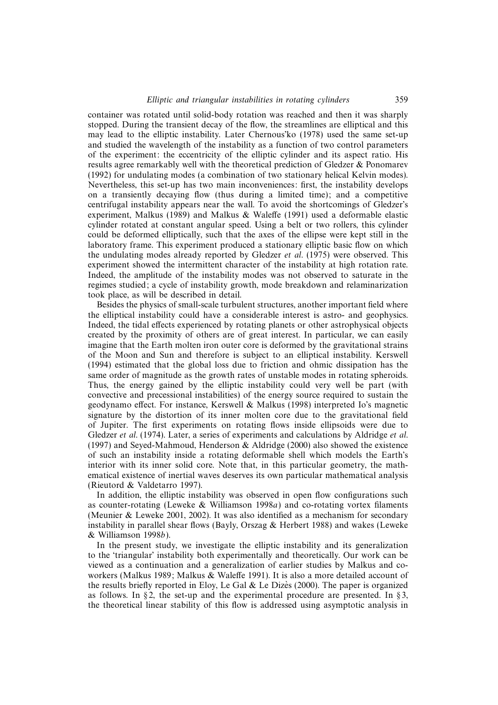container was rotated until solid-body rotation was reached and then it was sharply stopped. During the transient decay of the flow, the streamlines are elliptical and this may lead to the elliptic instability. Later Chernous'ko (1978) used the same set-up and studied the wavelength of the instability as a function of two control parameters of the experiment: the eccentricity of the elliptic cylinder and its aspect ratio. His results agree remarkably well with the theoretical prediction of Gledzer & Ponomarev (1992) for undulating modes (a combination of two stationary helical Kelvin modes). Nevertheless, this set-up has two main inconveniences: first, the instability develops on a transiently decaying flow (thus during a limited time); and a competitive centrifugal instability appears near the wall. To avoid the shortcomings of Gledzer's experiment, Malkus (1989) and Malkus & Waleffe (1991) used a deformable elastic cylinder rotated at constant angular speed. Using a belt or two rollers, this cylinder could be deformed elliptically, such that the axes of the ellipse were kept still in the laboratory frame. This experiment produced a stationary elliptic basic flow on which the undulating modes already reported by Gledzer et al. (1975) were observed. This experiment showed the intermittent character of the instability at high rotation rate. Indeed, the amplitude of the instability modes was not observed to saturate in the regimes studied; a cycle of instability growth, mode breakdown and relaminarization took place, as will be described in detail.

Besides the physics of small-scale turbulent structures, another important field where the elliptical instability could have a considerable interest is astro- and geophysics. Indeed, the tidal effects experienced by rotating planets or other astrophysical objects created by the proximity of others are of great interest. In particular, we can easily imagine that the Earth molten iron outer core is deformed by the gravitational strains of the Moon and Sun and therefore is subject to an elliptical instability. Kerswell (1994) estimated that the global loss due to friction and ohmic dissipation has the same order of magnitude as the growth rates of unstable modes in rotating spheroids. Thus, the energy gained by the elliptic instability could very well be part (with convective and precessional instabilities) of the energy source required to sustain the geodynamo effect. For instance, Kerswell & Malkus (1998) interpreted Io's magnetic signature by the distortion of its inner molten core due to the gravitational field of Jupiter. The first experiments on rotating flows inside ellipsoids were due to Gledzer *et al.* (1974). Later, a series of experiments and calculations by Aldridge *et al.* (1997) and Seyed-Mahmoud, Henderson & Aldridge (2000) also showed the existence of such an instability inside a rotating deformable shell which models the Earth's interior with its inner solid core. Note that, in this particular geometry, the mathematical existence of inertial waves deserves its own particular mathematical analysis (Rieutord & Valdetarro 1997).

In addition, the elliptic instability was observed in open flow configurations such as counter-rotating (Leweke & Williamson 1998a) and co-rotating vortex filaments (Meunier & Leweke 2001, 2002). It was also identified as a mechanism for secondary instability in parallel shear flows (Bayly, Orszag & Herbert 1988) and wakes (Leweke & Williamson 1998b).

In the present study, we investigate the elliptic instability and its generalization to the 'triangular' instability both experimentally and theoretically. Our work can be viewed as a continuation and a generalization of earlier studies by Malkus and coworkers (Malkus 1989; Malkus & Waleffe 1991). It is also a more detailed account of the results briefly reported in Eloy, Le Gal & Le Dizes (2000). The paper is organized as follows. In §2, the set-up and the experimental procedure are presented. In §3, the theoretical linear stability of this flow is addressed using asymptotic analysis in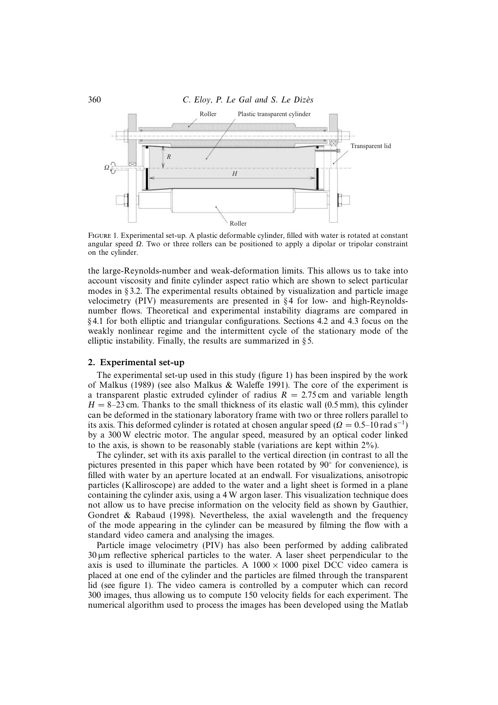

Figure 1. Experimental set-up. A plastic deformable cylinder, filled with water is rotated at constant angular speed  $\Omega$ . Two or three rollers can be positioned to apply a dipolar or tripolar constraint on the cylinder.

the large-Reynolds-number and weak-deformation limits. This allows us to take into account viscosity and finite cylinder aspect ratio which are shown to select particular modes in § 3.2. The experimental results obtained by visualization and particle image velocimetry (PIV) measurements are presented in § 4 for low- and high-Reynoldsnumber flows. Theoretical and experimental instability diagrams are compared in § 4.1 for both elliptic and triangular configurations. Sections 4.2 and 4.3 focus on the weakly nonlinear regime and the intermittent cycle of the stationary mode of the elliptic instability. Finally, the results are summarized in § 5.

# 2. Experimental set-up

The experimental set-up used in this study (figure 1) has been inspired by the work of Malkus (1989) (see also Malkus & Waleffe 1991). The core of the experiment is a transparent plastic extruded cylinder of radius  $R = 2.75$  cm and variable length  $H = 8-23$  cm. Thanks to the small thickness of its elastic wall (0.5 mm), this cylinder can be deformed in the stationary laboratory frame with two or three rollers parallel to its axis. This deformed cylinder is rotated at chosen angular speed ( $\Omega = 0.5$ –10 rad s<sup>-1</sup>) by a 300 W electric motor. The angular speed, measured by an optical coder linked to the axis, is shown to be reasonably stable (variations are kept within 2%).

The cylinder, set with its axis parallel to the vertical direction (in contrast to all the pictures presented in this paper which have been rotated by  $90°$  for convenience), is filled with water by an aperture located at an endwall. For visualizations, anisotropic particles (Kalliroscope) are added to the water and a light sheet is formed in a plane containing the cylinder axis, using a 4 W argon laser. This visualization technique does not allow us to have precise information on the velocity field as shown by Gauthier, Gondret & Rabaud (1998). Nevertheless, the axial wavelength and the frequency of the mode appearing in the cylinder can be measured by filming the flow with a standard video camera and analysing the images.

Particle image velocimetry (PIV) has also been performed by adding calibrated  $30 \mu m$  reflective spherical particles to the water. A laser sheet perpendicular to the axis is used to illuminate the particles. A  $1000 \times 1000$  pixel DCC video camera is placed at one end of the cylinder and the particles are filmed through the transparent lid (see figure 1). The video camera is controlled by a computer which can record 300 images, thus allowing us to compute 150 velocity fields for each experiment. The numerical algorithm used to process the images has been developed using the Matlab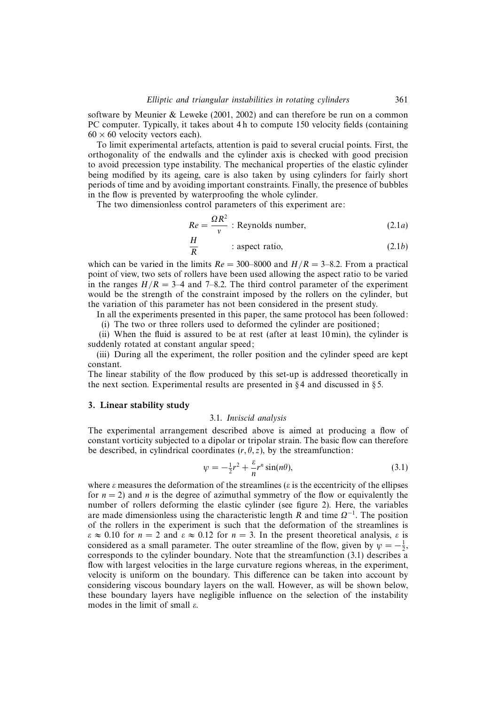software by Meunier & Leweke (2001, 2002) and can therefore be run on a common PC computer. Typically, it takes about 4 h to compute 150 velocity fields (containing  $60 \times 60$  velocity vectors each).

To limit experimental artefacts, attention is paid to several crucial points. First, the orthogonality of the endwalls and the cylinder axis is checked with good precision to avoid precession type instability. The mechanical properties of the elastic cylinder being modified by its ageing, care is also taken by using cylinders for fairly short periods of time and by avoiding important constraints. Finally, the presence of bubbles in the flow is prevented by waterproofing the whole cylinder.

The two dimensionless control parameters of this experiment are:

$$
Re = \frac{\Omega R^2}{v}
$$
: Reynolds number, (2.1*a*)

$$
\frac{H}{R} \qquad \qquad : \text{aspect ratio}, \tag{2.1b}
$$

which can be varied in the limits  $Re = 300-8000$  and  $H/R = 3-8.2$ . From a practical point of view, two sets of rollers have been used allowing the aspect ratio to be varied in the ranges  $H/R = 3-4$  and 7-8.2. The third control parameter of the experiment would be the strength of the constraint imposed by the rollers on the cylinder, but the variation of this parameter has not been considered in the present study.

In all the experiments presented in this paper, the same protocol has been followed:

(i) The two or three rollers used to deformed the cylinder are positioned;

(ii) When the fluid is assured to be at rest (after at least 10 min), the cylinder is suddenly rotated at constant angular speed;

(iii) During all the experiment, the roller position and the cylinder speed are kept constant.

The linear stability of the flow produced by this set-up is addressed theoretically in the next section. Experimental results are presented in  $\S 4$  and discussed in  $\S 5$ .

### 3. Linear stability study

#### 3.1. Inviscid analysis

The experimental arrangement described above is aimed at producing a flow of constant vorticity subjected to a dipolar or tripolar strain. The basic flow can therefore be described, in cylindrical coordinates  $(r, \theta, z)$ , by the streamfunction:

$$
\psi = -\frac{1}{2}r^2 + \frac{\varepsilon}{n}r^n \sin(n\theta),\tag{3.1}
$$

where  $\varepsilon$  measures the deformation of the streamlines ( $\varepsilon$  is the eccentricity of the ellipses for  $n = 2$ ) and *n* is the degree of azimuthal symmetry of the flow or equivalently the number of rollers deforming the elastic cylinder (see figure 2). Here, the variables are made dimensionless using the characteristic length R and time  $\Omega^{-1}$ . The position of the rollers in the experiment is such that the deformation of the streamlines is  $\varepsilon \approx 0.10$  for  $n = 2$  and  $\varepsilon \approx 0.12$  for  $n = 3$ . In the present theoretical analysis,  $\varepsilon$  is considered as a small parameter. The outer streamline of the flow, given by  $\psi = -\frac{1}{2}$ , corresponds to the cylinder boundary. Note that the streamfunction (3.1) describes a flow with largest velocities in the large curvature regions whereas, in the experiment, velocity is uniform on the boundary. This difference can be taken into account by considering viscous boundary layers on the wall. However, as will be shown below, these boundary layers have negligible influence on the selection of the instability modes in the limit of small ε.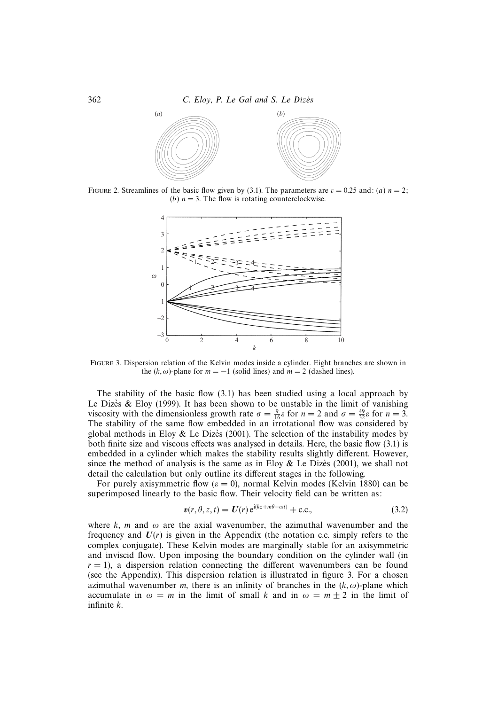

FIGURE 2. Streamlines of the basic flow given by (3.1). The parameters are  $\varepsilon = 0.25$  and: (a)  $n = 2$ ; (b)  $n = 3$ . The flow is rotating counterclockwise.



Figure 3. Dispersion relation of the Kelvin modes inside a cylinder. Eight branches are shown in the  $(k, \omega)$ -plane for  $m = -1$  (solid lines) and  $m = 2$  (dashed lines).

The stability of the basic flow (3.1) has been studied using a local approach by Le Dizes  $\&$  Eloy (1999). It has been shown to be unstable in the limit of vanishing viscosity with the dimensionless growth rate  $\sigma = \frac{9}{16} \varepsilon$  for  $n = 2$  and  $\sigma = \frac{49}{32} \varepsilon$  for  $n = 3$ . The stability of the same flow embedded in an irrotational flow was considered by global methods in Eloy & Le Dizes (2001). The selection of the instability modes by both finite size and viscous effects was analysed in details. Here, the basic flow (3.1) is embedded in a cylinder which makes the stability results slightly different. However, since the method of analysis is the same as in Eloy  $\&$  Le Dizes (2001), we shall not detail the calculation but only outline its different stages in the following.

For purely axisymmetric flow ( $\varepsilon = 0$ ), normal Kelvin modes (Kelvin 1880) can be superimposed linearly to the basic flow. Their velocity field can be written as:

$$
v(r, \theta, z, t) = U(r) e^{i(kz + m\theta - \omega t)} + \text{c.c.},
$$
\n(3.2)

where k, m and  $\omega$  are the axial wavenumber, the azimuthal wavenumber and the frequency and  $U(r)$  is given in the Appendix (the notation c.c. simply refers to the complex conjugate). These Kelvin modes are marginally stable for an axisymmetric and inviscid flow. Upon imposing the boundary condition on the cylinder wall (in  $r = 1$ ), a dispersion relation connecting the different wavenumbers can be found (see the Appendix). This dispersion relation is illustrated in figure 3. For a chosen azimuthal wavenumber m, there is an infinity of branches in the  $(k, \omega)$ -plane which accumulate in  $\omega = m$  in the limit of small k and in  $\omega = m \pm 2$  in the limit of infinite k.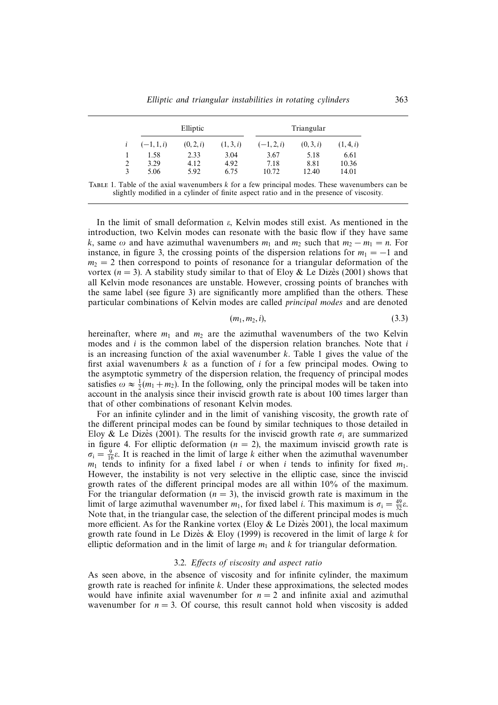|   | Elliptic     |           |           | Triangular   |           |           |
|---|--------------|-----------|-----------|--------------|-----------|-----------|
|   | $(-1, 1, i)$ | (0, 2, i) | (1, 3, i) | $(-1, 2, i)$ | (0, 3, i) | (1, 4, i) |
|   | 1.58         | 2.33      | 3.04      | 3.67         | 5.18      | 6.61      |
| 2 | 3.29         | 4.12      | 4.92      | 7.18         | 8.81      | 10.36     |
| 3 | 5.06         | 5.92      | 6.75      | 10.72        | 12.40     | 14.01     |

TABLE 1. Table of the axial wavenumbers  $k$  for a few principal modes. These wavenumbers can be slightly modified in a cylinder of finite aspect ratio and in the presence of viscosity.

In the limit of small deformation  $\varepsilon$ , Kelvin modes still exist. As mentioned in the introduction, two Kelvin modes can resonate with the basic flow if they have same k, same  $\omega$  and have azimuthal wavenumbers  $m_1$  and  $m_2$  such that  $m_2 - m_1 = n$ . For instance, in figure 3, the crossing points of the dispersion relations for  $m_1 = -1$  and  $m<sub>2</sub> = 2$  then correspond to points of resonance for a triangular deformation of the vortex ( $n = 3$ ). A stability study similar to that of Eloy & Le Dizes (2001) shows that all Kelvin mode resonances are unstable. However, crossing points of branches with the same label (see figure 3) are significantly more amplified than the others. These particular combinations of Kelvin modes are called principal modes and are denoted

$$
(m_1, m_2, i), \t\t(3.3)
$$

hereinafter, where  $m_1$  and  $m_2$  are the azimuthal wavenumbers of the two Kelvin modes and  $i$  is the common label of the dispersion relation branches. Note that  $i$ is an increasing function of the axial wavenumber  $k$ . Table 1 gives the value of the first axial wavenumbers k as a function of i for a few principal modes. Owing to the asymptotic symmetry of the dispersion relation, the frequency of principal modes satisfies  $\omega \approx \frac{1}{2}(m_1 + m_2)$ . In the following, only the principal modes will be taken into account in the analysis since their inviscid growth rate is about 100 times larger than that of other combinations of resonant Kelvin modes.

For an infinite cylinder and in the limit of vanishing viscosity, the growth rate of the different principal modes can be found by similar techniques to those detailed in Eloy & Le Dizes (2001). The results for the inviscid growth rate  $\sigma_i$  are summarized in figure 4. For elliptic deformation  $(n = 2)$ , the maximum inviscid growth rate is  $\sigma_i = \frac{9}{16}\varepsilon$ . It is reached in the limit of large k either when the azimuthal wavenumber  $m_1$  tends to infinity for a fixed label i or when i tends to infinity for fixed  $m_1$ . However, the instability is not very selective in the elliptic case, since the inviscid growth rates of the different principal modes are all within 10% of the maximum. For the triangular deformation  $(n = 3)$ , the inviscid growth rate is maximum in the limit of large azimuthal wavenumber  $m_1$ , for fixed label *i*. This maximum is  $\sigma_i = \frac{49}{32} \varepsilon$ . Note that, in the triangular case, the selection of the different principal modes is much more efficient. As for the Rankine vortex (Eloy  $\&$  Le Dizès 2001), the local maximum growth rate found in Le Dizes & Eloy (1999) is recovered in the limit of large  $k$  for elliptic deformation and in the limit of large  $m_1$  and k for triangular deformation.

#### 3.2. Effects of viscosity and aspect ratio

As seen above, in the absence of viscosity and for infinite cylinder, the maximum growth rate is reached for infinite k. Under these approximations, the selected modes would have infinite axial wavenumber for  $n = 2$  and infinite axial and azimuthal wavenumber for  $n = 3$ . Of course, this result cannot hold when viscosity is added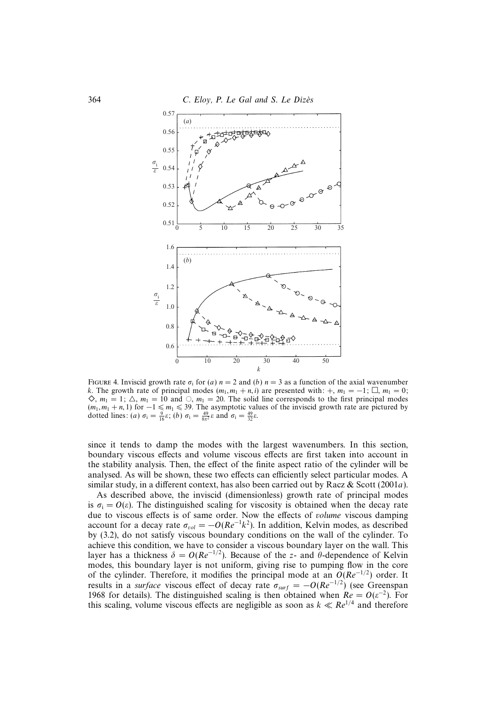

FIGURE 4. Inviscid growth rate  $\sigma_i$  for (a)  $n = 2$  and (b)  $n = 3$  as a function of the axial wavenumber k. The growth rate of principal modes  $(m_1, m_1 + n, i)$  are presented with:  $+, m_1 = -1; \Box, m_1 = 0;$ <br>  $\Diamond, m_1 = 1; \triangle, m_1 = 10$  and  $\Diamond, m_1 = 20$ . The solid line corresponds to the first principal modes  $(m_1, m_1 + n, 1)$  for  $-1 \le m_1 \le 39$ . The asymptotic values of the inviscid growth rate are pictured by dotted lines: (a)  $\sigma_i = \frac{9}{16}\varepsilon$ ; (b)  $\sigma_i = \frac{49}{8\pi^2}\varepsilon$  and  $\sigma_i = \frac{49}{32}\varepsilon$ .

since it tends to damp the modes with the largest wavenumbers. In this section, boundary viscous effects and volume viscous effects are first taken into account in the stability analysis. Then, the effect of the finite aspect ratio of the cylinder will be analysed. As will be shown, these two effects can efficiently select particular modes. A similar study, in a different context, has also been carried out by Racz  $\&$  Scott (2001a).

As described above, the inviscid (dimensionless) growth rate of principal modes is  $\sigma_i = O(\varepsilon)$ . The distinguished scaling for viscosity is obtained when the decay rate due to viscous effects is of same order. Now the effects of volume viscous damping account for a decay rate  $\sigma_{vol} = -O(Re^{-1}k^2)$ . In addition, Kelvin modes, as described by (3.2), do not satisfy viscous boundary conditions on the wall of the cylinder. To achieve this condition, we have to consider a viscous boundary layer on the wall. This layer has a thickness  $\delta = O(Re^{-1/2})$ . Because of the z- and  $\theta$ -dependence of Kelvin modes, this boundary layer is not uniform, giving rise to pumping flow in the core of the cylinder. Therefore, it modifies the principal mode at an  $O(Re^{-1/2})$  order. It results in a surface viscous effect of decay rate  $\sigma_{surf} = -O(Re^{-1/2})$  (see Greenspan 1968 for details). The distinguished scaling is then obtained when  $Re = O(\varepsilon^{-2})$ . For this scaling, volume viscous effects are negligible as soon as  $k \ll Re^{1/4}$  and therefore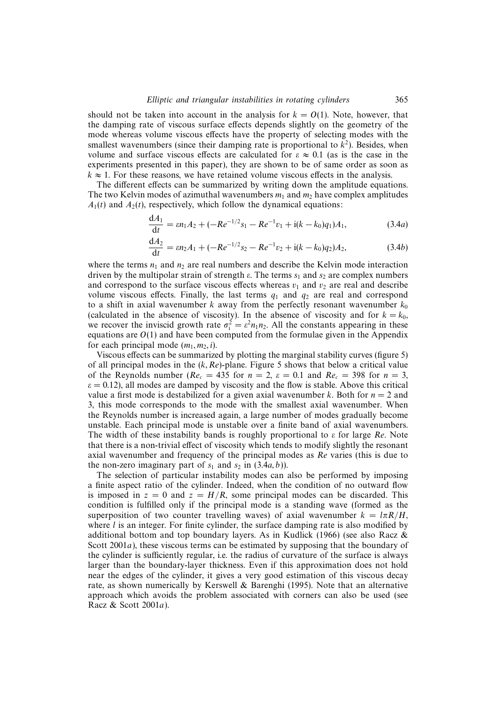should not be taken into account in the analysis for  $k = O(1)$ . Note, however, that the damping rate of viscous surface effects depends slightly on the geometry of the mode whereas volume viscous effects have the property of selecting modes with the smallest wavenumbers (since their damping rate is proportional to  $k^2$ ). Besides, when volume and surface viscous effects are calculated for  $\varepsilon \approx 0.1$  (as is the case in the experiments presented in this paper), they are shown to be of same order as soon as  $k \approx 1$ . For these reasons, we have retained volume viscous effects in the analysis.

The different effects can be summarized by writing down the amplitude equations. The two Kelvin modes of azimuthal wavenumbers  $m_1$  and  $m_2$  have complex amplitudes  $A_1(t)$  and  $A_2(t)$ , respectively, which follow the dynamical equations:

$$
\frac{dA_1}{dt} = \varepsilon n_1 A_2 + (-Re^{-1/2}s_1 - Re^{-1}v_1 + i(k - k_0)q_1)A_1,\tag{3.4a}
$$

$$
\frac{dA_2}{dt} = \varepsilon n_2 A_1 + (-Re^{-1/2}s_2 - Re^{-1}v_2 + i(k - k_0)q_2)A_2,\tag{3.4b}
$$

where the terms  $n_1$  and  $n_2$  are real numbers and describe the Kelvin mode interaction driven by the multipolar strain of strength  $\varepsilon$ . The terms  $s_1$  and  $s_2$  are complex numbers and correspond to the surface viscous effects whereas  $v_1$  and  $v_2$  are real and describe volume viscous effects. Finally, the last terms  $q_1$  and  $q_2$  are real and correspond to a shift in axial wavenumber k away from the perfectly resonant wavenumber  $k_0$ (calculated in the absence of viscosity). In the absence of viscosity and for  $k = k_0$ , we recover the inviscid growth rate  $\sigma_i^2 = \varepsilon^2 n_1 n_2$ . All the constants appearing in these equations are  $O(1)$  and have been computed from the formulae given in the Appendix for each principal mode  $(m_1, m_2, i)$ .

Viscous effects can be summarized by plotting the marginal stability curves (figure 5) of all principal modes in the  $(k, Re)$ -plane. Figure 5 shows that below a critical value of the Reynolds number ( $Re_c = 435$  for  $n = 2$ ,  $\varepsilon = 0.1$  and  $Re_c = 398$  for  $n = 3$ ,  $\varepsilon = 0.12$ ), all modes are damped by viscosity and the flow is stable. Above this critical value a first mode is destabilized for a given axial wavenumber k. Both for  $n = 2$  and 3, this mode corresponds to the mode with the smallest axial wavenumber. When the Reynolds number is increased again, a large number of modes gradually become unstable. Each principal mode is unstable over a finite band of axial wavenumbers. The width of these instability bands is roughly proportional to  $\varepsilon$  for large Re. Note that there is a non-trivial effect of viscosity which tends to modify slightly the resonant axial wavenumber and frequency of the principal modes as Re varies (this is due to the non-zero imaginary part of  $s_1$  and  $s_2$  in (3.4*a*, *b*)).

The selection of particular instability modes can also be performed by imposing a finite aspect ratio of the cylinder. Indeed, when the condition of no outward flow is imposed in  $z = 0$  and  $z = H/R$ , some principal modes can be discarded. This condition is fulfilled only if the principal mode is a standing wave (formed as the superposition of two counter travelling waves) of axial wavenumber  $k = \ln R/H$ , where  $l$  is an integer. For finite cylinder, the surface damping rate is also modified by additional bottom and top boundary layers. As in Kudlick (1966) (see also Racz  $\&$ Scott 2001*a*), these viscous terms can be estimated by supposing that the boundary of the cylinder is sufficiently regular, i.e. the radius of curvature of the surface is always larger than the boundary-layer thickness. Even if this approximation does not hold near the edges of the cylinder, it gives a very good estimation of this viscous decay rate, as shown numerically by Kerswell & Barenghi (1995). Note that an alternative approach which avoids the problem associated with corners can also be used (see Racz & Scott 2001a).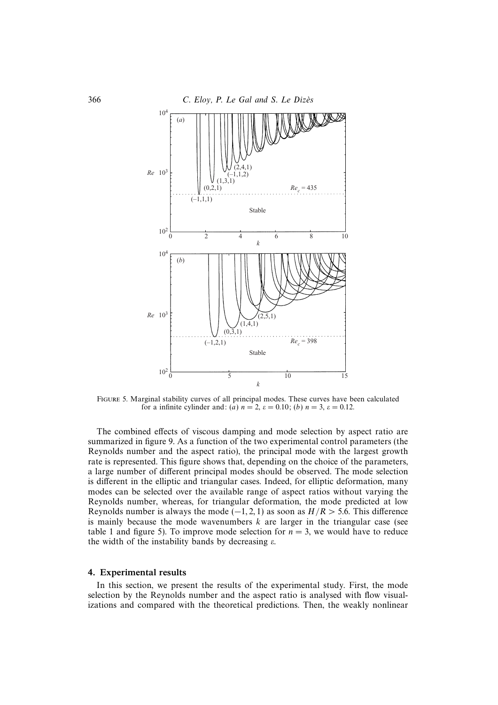

Figure 5. Marginal stability curves of all principal modes. These curves have been calculated for a infinite cylinder and: (a)  $n = 2$ ,  $\varepsilon = 0.10$ ; (b)  $n = 3$ ,  $\varepsilon = 0.12$ .

The combined effects of viscous damping and mode selection by aspect ratio are summarized in figure 9. As a function of the two experimental control parameters (the Reynolds number and the aspect ratio), the principal mode with the largest growth rate is represented. This figure shows that, depending on the choice of the parameters, a large number of different principal modes should be observed. The mode selection is different in the elliptic and triangular cases. Indeed, for elliptic deformation, many modes can be selected over the available range of aspect ratios without varying the Reynolds number, whereas, for triangular deformation, the mode predicted at low Reynolds number is always the mode  $(-1, 2, 1)$  as soon as  $H/R > 5.6$ . This difference is mainly because the mode wavenumbers  $k$  are larger in the triangular case (see table 1 and figure 5). To improve mode selection for  $n = 3$ , we would have to reduce the width of the instability bands by decreasing  $ε$ .

#### 4. Experimental results

In this section, we present the results of the experimental study. First, the mode selection by the Reynolds number and the aspect ratio is analysed with flow visualizations and compared with the theoretical predictions. Then, the weakly nonlinear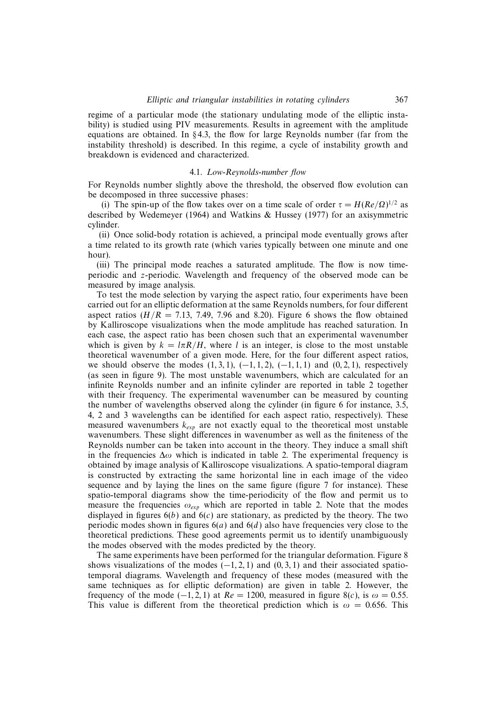regime of a particular mode (the stationary undulating mode of the elliptic instability) is studied using PIV measurements. Results in agreement with the amplitude equations are obtained. In §4.3, the flow for large Reynolds number (far from the instability threshold) is described. In this regime, a cycle of instability growth and breakdown is evidenced and characterized.

#### 4.1. Low-Reynolds-number flow

For Reynolds number slightly above the threshold, the observed flow evolution can be decomposed in three successive phases:

(i) The spin-up of the flow takes over on a time scale of order  $\tau = H(Re/\Omega)^{1/2}$  as described by Wedemeyer (1964) and Watkins & Hussey (1977) for an axisymmetric cylinder.

(ii) Once solid-body rotation is achieved, a principal mode eventually grows after a time related to its growth rate (which varies typically between one minute and one hour).

(iii) The principal mode reaches a saturated amplitude. The flow is now timeperiodic and z-periodic. Wavelength and frequency of the observed mode can be measured by image analysis.

To test the mode selection by varying the aspect ratio, four experiments have been carried out for an elliptic deformation at the same Reynolds numbers, for four different aspect ratios ( $H/R = 7.13, 7.49, 7.96$  and 8.20). Figure 6 shows the flow obtained by Kalliroscope visualizations when the mode amplitude has reached saturation. In each case, the aspect ratio has been chosen such that an experimental wavenumber which is given by  $k = \ln R/H$ , where l is an integer, is close to the most unstable theoretical wavenumber of a given mode. Here, for the four different aspect ratios, we should observe the modes  $(1, 3, 1)$ ,  $(-1, 1, 2)$ ,  $(-1, 1, 1)$  and  $(0, 2, 1)$ , respectively (as seen in figure 9). The most unstable wavenumbers, which are calculated for an infinite Reynolds number and an infinite cylinder are reported in table 2 together with their frequency. The experimental wavenumber can be measured by counting the number of wavelengths observed along the cylinder (in figure 6 for instance, 3.5, 4, 2 and 3 wavelengths can be identified for each aspect ratio, respectively). These measured wavenumbers  $k_{exp}$  are not exactly equal to the theoretical most unstable wavenumbers. These slight differences in wavenumber as well as the finiteness of the Reynolds number can be taken into account in the theory. They induce a small shift in the frequencies  $\Delta \omega$  which is indicated in table 2. The experimental frequency is obtained by image analysis of Kalliroscope visualizations. A spatio-temporal diagram is constructed by extracting the same horizontal line in each image of the video sequence and by laying the lines on the same figure (figure 7 for instance). These spatio-temporal diagrams show the time-periodicity of the flow and permit us to measure the frequencies  $\omega_{\text{exp}}$  which are reported in table 2. Note that the modes displayed in figures  $6(b)$  and  $6(c)$  are stationary, as predicted by the theory. The two periodic modes shown in figures  $6(a)$  and  $6(d)$  also have frequencies very close to the theoretical predictions. These good agreements permit us to identify unambiguously the modes observed with the modes predicted by the theory.

The same experiments have been performed for the triangular deformation. Figure 8 shows visualizations of the modes  $(-1, 2, 1)$  and  $(0, 3, 1)$  and their associated spatiotemporal diagrams. Wavelength and frequency of these modes (measured with the same techniques as for elliptic deformation) are given in table 2. However, the frequency of the mode (−1, 2, 1) at  $Re = 1200$ , measured in figure 8(c), is  $\omega = 0.55$ . This value is different from the theoretical prediction which is  $\omega = 0.656$ . This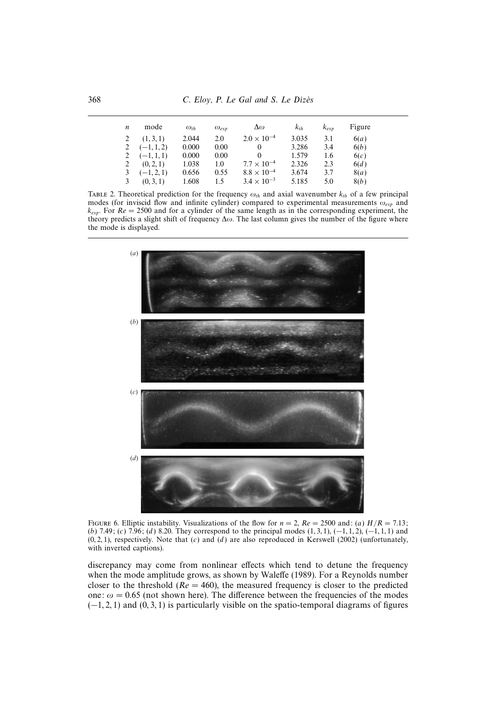368 C. Eloy, P. Le Gal and S. Le Dizès

| $\boldsymbol{n}$ | mode         | $\omega_{th}$ | $\omega_{exp}$ | $\Delta\omega$       | $k_{th}$ | $k_{exp}$ | Figure |
|------------------|--------------|---------------|----------------|----------------------|----------|-----------|--------|
| 2                | (1, 3, 1)    | 2.044         | 2.0            | $2.0 \times 10^{-4}$ | 3.035    | 3.1       | 6(a)   |
| 2                | $(-1, 1, 2)$ | 0.000         | 0.00           | $\Omega$             | 3.286    | 3.4       | 6(b)   |
| 2                | $(-1, 1, 1)$ | 0.000         | 0.00           |                      | 1.579    | 1.6       | 6(c)   |
| 2                | (0, 2, 1)    | 1.038         | 1.0            | $7.7 \times 10^{-4}$ | 2.326    | 2.3       | 6(d)   |
| 3                | $(-1, 2, 1)$ | 0.656         | 0.55           | $8.8 \times 10^{-4}$ | 3.674    | 3.7       | 8(a)   |
| 3                | (0, 3, 1)    | 1.608         | 1.5            | $3.4 \times 10^{-3}$ | 5.185    | 5.0       | 8(b)   |

TABLE 2. Theoretical prediction for the frequency  $\omega_{th}$  and axial wavenumber  $k_{th}$  of a few principal modes (for inviscid flow and infinite cylinder) compared to experimental measurements  $\omega_{exp}$  and  $k_{exp}$ . For  $Re = 2500$  and for a cylinder of the same length as in the corresponding experiment, the theory predicts a slight shift of frequency  $\Delta \omega$ . The last column gives the number of the figure where the mode is displayed.



FIGURE 6. Elliptic instability. Visualizations of the flow for  $n = 2$ ,  $Re = 2500$  and: (a)  $H/R = 7.13$ ; (b) 7.49; (c) 7.96; (d) 8.20. They correspond to the principal modes  $(1, 3, 1)$ ,  $(-1, 1, 2)$ ,  $(-1, 1, 1)$  and  $(0, 2, 1)$ , respectively. Note that  $(c)$  and  $(d)$  are also reproduced in Kerswell (2002) (unfortunately, with inverted captions).

discrepancy may come from nonlinear effects which tend to detune the frequency when the mode amplitude grows, as shown by Waleffe (1989). For a Reynolds number closer to the threshold ( $Re = 460$ ), the measured frequency is closer to the predicted one:  $\omega = 0.65$  (not shown here). The difference between the frequencies of the modes (−1, 2, 1) and (0, 3, 1) is particularly visible on the spatio-temporal diagrams of figures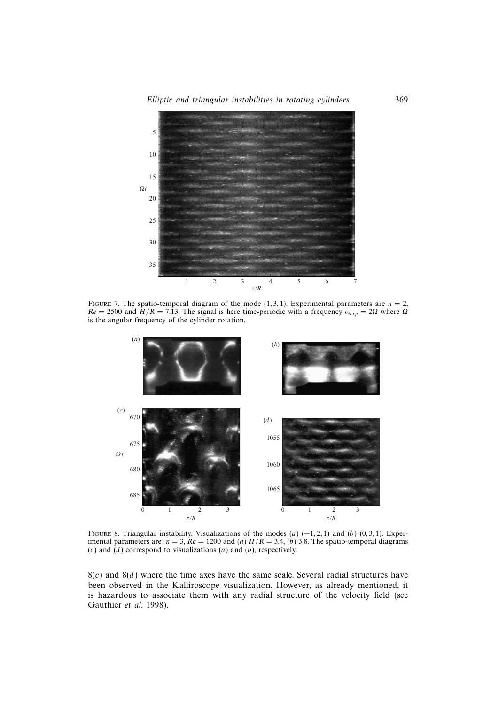

FIGURE 7. The spatio-temporal diagram of the mode  $(1, 3, 1)$ . Experimental parameters are  $n = 2$ ,  $Re = 2500$  and  $H/R = 7.13$ . The signal is here time-periodic with a frequency  $\omega_{exp} = 2\Omega$  where  $\Omega$ is the angular frequency of the cylinder rotation.



FIGURE 8. Triangular instability. Visualizations of the modes (a)  $(-1, 2, 1)$  and (b)  $(0, 3, 1)$ . Experimental parameters are:  $n = 3$ ,  $Re = 1200$  and (a)  $H/R = 3.4$ , (b) 3.8. The spatio-temporal diagrams (c) and  $(d)$  correspond to visualizations  $(a)$  and  $(b)$ , respectively.

 $8(c)$  and  $8(d)$  where the time axes have the same scale. Several radial structures have been observed in the Kalliroscope visualization. However, as already mentioned, it is hazardous to associate them with any radial structure of the velocity field (see Gauthier et al. 1998).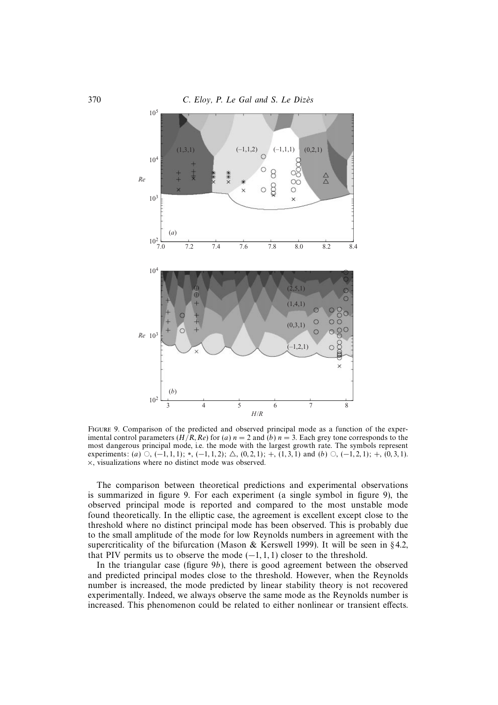

FIGURE 9. Comparison of the predicted and observed principal mode as a function of the experimental control parameters  $(H/R, Re)$  for  $(a)$   $n = 2$  and  $(b)$   $n = 3$ . Each grey tone corresponds to the most dangerous principal mode, i.e. the mode with the largest growth rate. The symbols represent experiments: (a)  $\circ$ , (-1, 1, 1); \*, (-1, 1, 2);  $\triangle$ , (0, 2, 1); +, (1, 3, 1) and (b)  $\circ$ , (-1, 2, 1); +, (0, 3, 1). ×, visualizations where no distinct mode was observed.

The comparison between theoretical predictions and experimental observations is summarized in figure 9. For each experiment (a single symbol in figure 9), the observed principal mode is reported and compared to the most unstable mode found theoretically. In the elliptic case, the agreement is excellent except close to the threshold where no distinct principal mode has been observed. This is probably due to the small amplitude of the mode for low Reynolds numbers in agreement with the supercriticality of the bifurcation (Mason & Kerswell 1999). It will be seen in  $\S 4.2$ , that PIV permits us to observe the mode  $(-1, 1, 1)$  closer to the threshold.

In the triangular case (figure 9b), there is good agreement between the observed and predicted principal modes close to the threshold. However, when the Reynolds number is increased, the mode predicted by linear stability theory is not recovered experimentally. Indeed, we always observe the same mode as the Reynolds number is increased. This phenomenon could be related to either nonlinear or transient effects.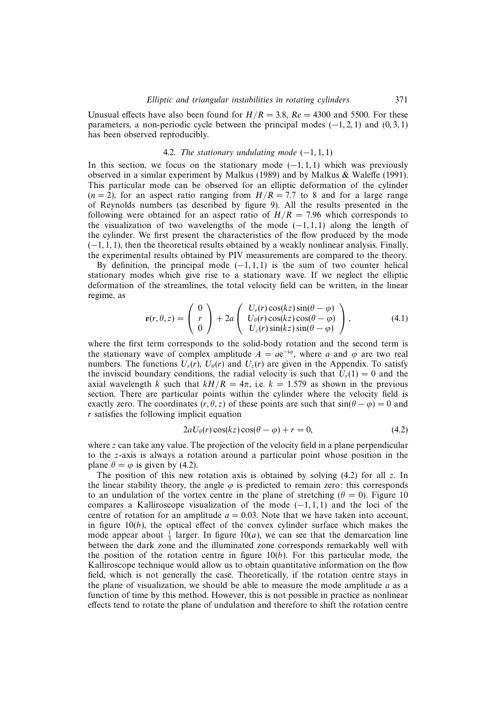Unusual effects have also been found for  $H/R = 3.8$ ,  $Re = 4300$  and 5500. For these parameters, a non-periodic cycle between the principal modes  $(-1, 2, 1)$  and  $(0, 3, 1)$ has been observed reproducibly.

#### 4.2. The stationary undulating mode  $(-1, 1, 1)$

In this section, we focus on the stationary mode  $(-1, 1, 1)$  which was previously observed in a similar experiment by Malkus (1989) and by Malkus & Waleffe (1991). This particular mode can be observed for an elliptic deformation of the cylinder  $(n = 2)$ , for an aspect ratio ranging from  $H/R = 7.7$  to 8 and for a large range of Reynolds numbers (as described by figure 9). All the results presented in the following were obtained for an aspect ratio of  $H/R = 7.96$  which corresponds to the visualization of two wavelengths of the mode  $(-1, 1, 1)$  along the length of the cylinder. We first present the characteristics of the flow produced by the mode  $(-1, 1, 1)$ , then the theoretical results obtained by a weakly nonlinear analysis. Finally, the experimental results obtained by PIV measurements are compared to the theory.

By definition, the principal mode  $(-1, 1, 1)$  is the sum of two counter helical stationary modes which give rise to a stationary wave. If we neglect the elliptic deformation of the streamlines, the total velocity field can be written, in the linear regime, as

$$
\mathbf{v}(r,\theta,z) = \begin{pmatrix} 0 \\ r \\ 0 \end{pmatrix} + 2a \begin{pmatrix} U_r(r)\cos(kz)\sin(\theta-\varphi) \\ U_\theta(r)\cos(kz)\cos(\theta-\varphi) \\ U_z(r)\sin(kz)\sin(\theta-\varphi) \end{pmatrix},
$$
(4.1)

where the first term corresponds to the solid-body rotation and the second term is the stationary wave of complex amplitude  $A = ae^{-i\varphi}$ , where a and  $\varphi$  are two real numbers. The functions  $U_r(r)$ ,  $U_\theta(r)$  and  $U_z(r)$  are given in the Appendix. To satisfy the inviscid boundary conditions, the radial velocity is such that  $U_r(1) = 0$  and the axial wavelength k such that  $kH/R = 4\pi$ , i.e.  $k = 1.579$  as shown in the previous section. There are particular points within the cylinder where the velocity field is exactly zero. The coordinates  $(r, \theta, z)$  of these points are such that  $sin(\theta - \varphi) = 0$  and r satisfies the following implicit equation

$$
2aU_{\theta}(r)\cos(kz)\cos(\theta - \varphi) + r = 0,
$$
\n(4.2)

where  $z$  can take any value. The projection of the velocity field in a plane perpendicular to the z-axis is always a rotation around a particular point whose position in the plane  $\theta = \varphi$  is given by (4.2).

The position of this new rotation axis is obtained by solving (4.2) for all z. In the linear stability theory, the angle  $\varphi$  is predicted to remain zero: this corresponds to an undulation of the vortex centre in the plane of stretching ( $\theta = 0$ ). Figure 10 compares a Kalliroscope visualization of the mode  $(-1, 1, 1)$  and the loci of the centre of rotation for an amplitude  $a = 0.03$ . Note that we have taken into account, in figure  $10(b)$ , the optical effect of the convex cylinder surface which makes the mode appear about  $\frac{1}{3}$  larger. In figure 10(*a*), we can see that the demarcation line between the dark zone and the illuminated zone corresponds remarkably well with the position of the rotation centre in figure  $10(b)$ . For this particular mode, the Kalliroscope technique would allow us to obtain quantitative information on the flow field, which is not generally the case. Theoretically, if the rotation centre stays in the plane of visualization, we should be able to measure the mode amplitude  $a$  as a function of time by this method. However, this is not possible in practice as nonlinear effects tend to rotate the plane of undulation and therefore to shift the rotation centre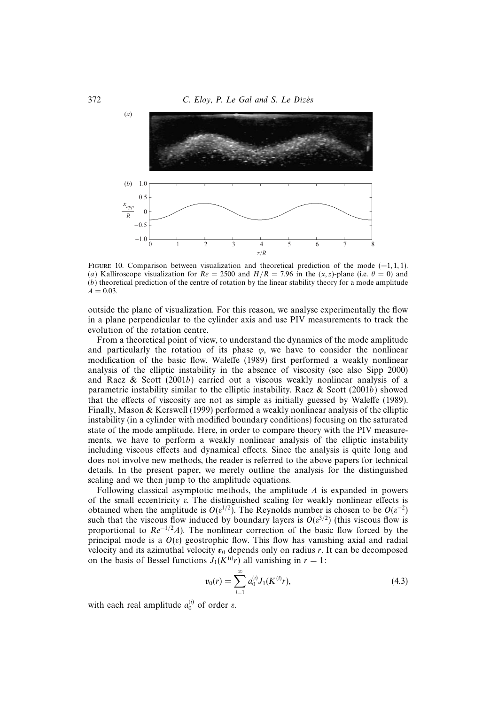

FIGURE 10. Comparison between visualization and theoretical prediction of the mode  $(-1, 1, 1)$ . (a) Kalliroscope visualization for  $Re = 2500$  and  $H/R = 7.96$  in the  $(x, z)$ -plane (i.e.  $\theta = 0$ ) and (b) theoretical prediction of the centre of rotation by the linear stability theory for a mode amplitude  $A = 0.03$ .

outside the plane of visualization. For this reason, we analyse experimentally the flow in a plane perpendicular to the cylinder axis and use PIV measurements to track the evolution of the rotation centre.

From a theoretical point of view, to understand the dynamics of the mode amplitude and particularly the rotation of its phase  $\varphi$ , we have to consider the nonlinear modification of the basic flow. Waleffe (1989) first performed a weakly nonlinear analysis of the elliptic instability in the absence of viscosity (see also Sipp 2000) and Racz & Scott (2001b) carried out a viscous weakly nonlinear analysis of a parametric instability similar to the elliptic instability. Racz  $\&$  Scott (2001b) showed that the effects of viscosity are not as simple as initially guessed by Waleffe (1989). Finally, Mason & Kerswell (1999) performed a weakly nonlinear analysis of the elliptic instability (in a cylinder with modified boundary conditions) focusing on the saturated state of the mode amplitude. Here, in order to compare theory with the PIV measurements, we have to perform a weakly nonlinear analysis of the elliptic instability including viscous effects and dynamical effects. Since the analysis is quite long and does not involve new methods, the reader is referred to the above papers for technical details. In the present paper, we merely outline the analysis for the distinguished scaling and we then jump to the amplitude equations.

Following classical asymptotic methods, the amplitude A is expanded in powers of the small eccentricity  $\varepsilon$ . The distinguished scaling for weakly nonlinear effects is obtained when the amplitude is  $O(\varepsilon^{1/2})$ . The Reynolds number is chosen to be  $O(\varepsilon^{-2})$ such that the viscous flow induced by boundary layers is  $O(\varepsilon^{3/2})$  (this viscous flow is proportional to  $Re^{-1/2}A$ ). The nonlinear correction of the basic flow forced by the principal mode is a  $O(\varepsilon)$  geostrophic flow. This flow has vanishing axial and radial velocity and its azimuthal velocity  $v_0$  depends only on radius r. It can be decomposed on the basis of Bessel functions  $J_1(K^{(i)}r)$  all vanishing in  $r = 1$ :

$$
\mathbf{v}_0(r) = \sum_{i=1}^{\infty} a_0^{(i)} J_1(K^{(i)}r), \tag{4.3}
$$

with each real amplitude  $a_0^{(i)}$  of order  $\varepsilon$ .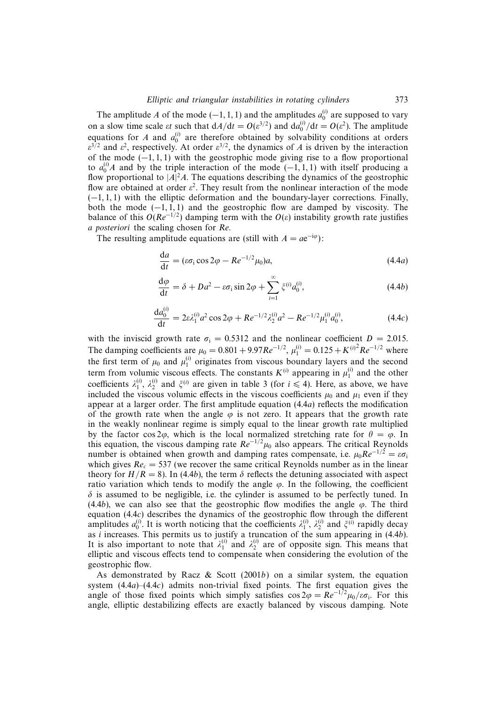The amplitude A of the mode (-1, 1, 1) and the amplitudes  $a_0^{(i)}$  are supposed to vary on a slow time scale *at* such that  $dA/dt = O(\varepsilon^{3/2})$  and  $da_0^{(i)}/dt = O(\varepsilon^2)$ . The amplitude equations for A and  $a_0^{(i)}$  are therefore obtained by solvability conditions at orders  $\varepsilon^{3/2}$  and  $\varepsilon^2$ , respectively. At order  $\varepsilon^{3/2}$ , the dynamics of A is driven by the interaction of the mode  $(-1, 1, 1)$  with the geostrophic mode giving rise to a flow proportional to  $a_0^{(i)}$  and by the triple interaction of the mode (−1, 1, 1) with itself producing a flow proportional to  $|A|^2A$ . The equations describing the dynamics of the geostrophic flow are obtained at order  $\varepsilon^2$ . They result from the nonlinear interaction of the mode  $(-1, 1, 1)$  with the elliptic deformation and the boundary-layer corrections. Finally, both the mode  $(-1, 1, 1)$  and the geostrophic flow are damped by viscosity. The balance of this  $O(Re^{-1/2})$  damping term with the  $O(\varepsilon)$  instability growth rate justifies a posteriori the scaling chosen for Re.

The resulting amplitude equations are (still with  $A = ae^{-i\varphi}$ ):

$$
\frac{\mathrm{d}a}{\mathrm{d}t} = (\varepsilon \sigma_1 \cos 2\varphi - Re^{-1/2} \mu_0)a,\tag{4.4a}
$$

$$
\frac{d\varphi}{dt} = \delta + Da^2 - \varepsilon \sigma_i \sin 2\varphi + \sum_{i=1}^{\infty} \xi^{(i)} a_0^{(i)},\tag{4.4b}
$$

$$
\frac{da_0^{(i)}}{dt} = 2\varepsilon \lambda_1^{(i)} a^2 \cos 2\varphi + Re^{-1/2} \lambda_2^{(i)} a^2 - Re^{-1/2} \mu_1^{(i)} a_0^{(i)},\tag{4.4c}
$$

with the inviscid growth rate  $\sigma_i = 0.5312$  and the nonlinear coefficient  $D = 2.015$ . The damping coefficients are  $\mu_0 = 0.801 + 9.97Re^{-1/2}$ ,  $\mu_1^{(i)} = 0.125 + K^{(i)2}Re^{-1/2}$  where the first term of  $\mu_0$  and  $\mu_1^{(i)}$  originates from viscous boundary layers and the second term from volumic viscous effects. The constants  $K^{(i)}$  appearing in  $\mu_1^{(i)}$  and the other coefficients  $\lambda_1^{(i)}$ ,  $\lambda_2^{(i)}$  and  $\xi^{(i)}$  are given in table 3 (for  $i \le 4$ ). Here, as above, we have included the viscous volumic effects in the viscous coefficients  $\mu_0$  and  $\mu_1$  even if they appear at a larger order. The first amplitude equation  $(4.4a)$  reflects the modification of the growth rate when the angle  $\varphi$  is not zero. It appears that the growth rate in the weakly nonlinear regime is simply equal to the linear growth rate multiplied by the factor cos  $2\varphi$ , which is the local normalized stretching rate for  $\theta = \varphi$ . In this equation, the viscous damping rate  $Re^{-1/2}\mu_0$  also appears. The critical Reynolds number is obtained when growth and damping rates compensate, i.e.  $\mu_0Re^{-1/2} = \varepsilon \sigma_i$ which gives  $Re_c = 537$  (we recover the same critical Reynolds number as in the linear theory for  $H/R = 8$ ). In (4.4b), the term  $\delta$  reflects the detuning associated with aspect ratio variation which tends to modify the angle  $\varphi$ . In the following, the coefficient  $\delta$  is assumed to be negligible, i.e. the cylinder is assumed to be perfectly tuned. In (4.4b), we can also see that the geostrophic flow modifies the angle  $\varphi$ . The third equation (4.4c) describes the dynamics of the geostrophic flow through the different amplitudes  $a_0^{(i)}$ . It is worth noticing that the coefficients  $\lambda_1^{(i)}$ ,  $\lambda_2^{(i)}$  and  $\xi^{(i)}$  rapidly decay as i increases. This permits us to justify a truncation of the sum appearing in  $(4.4b)$ . It is also important to note that  $\lambda_1^{(i)}$  and  $\lambda_2^{(i)}$  are of opposite sign. This means that elliptic and viscous effects tend to compensate when considering the evolution of the geostrophic flow.

As demonstrated by Racz & Scott (2001b) on a similar system, the equation system  $(4.4a)$ – $(4.4c)$  admits non-trivial fixed points. The first equation gives the angle of those fixed points which simply satisfies  $\cos 2\varphi = Re^{-1/2}\mu_0/\varepsilon \sigma_i$ . For this angle, elliptic destabilizing effects are exactly balanced by viscous damping. Note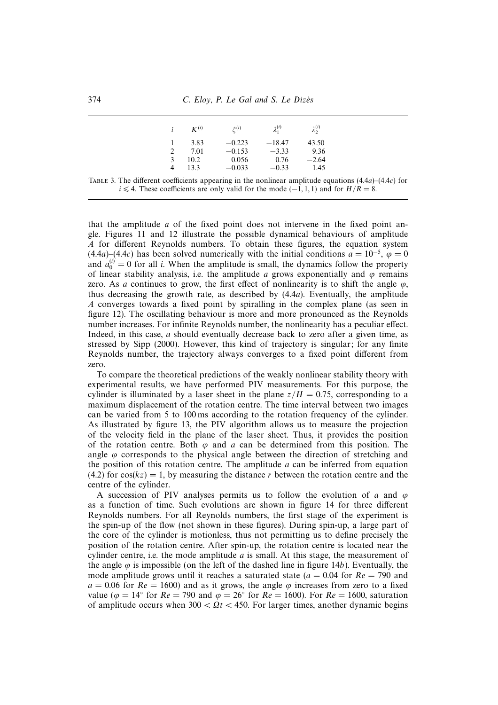| i | $K^{(i)}$ | z(i)     | $\lambda_1^{(i)}$ | $\lambda_2^{(i)}$ |
|---|-----------|----------|-------------------|-------------------|
|   | 3.83      | $-0.223$ | $-18.47$          | 43.50             |
|   | 7.01      | $-0.153$ | $-3.33$           | 9.36              |
| 3 | 10.2      | 0.056    | 0.76              | $-2.64$           |
| Δ | 13.3      | $-0.033$ | $-0.33$           | 1.45              |

TABLE 3. The different coefficients appearing in the nonlinear amplitude equations  $(4.4a)$ – $(4.4c)$  for  $i \leq 4$ . These coefficients are only valid for the mode (−1, 1, 1) and for  $H/R = 8$ .

that the amplitude  $a$  of the fixed point does not intervene in the fixed point angle. Figures 11 and 12 illustrate the possible dynamical behaviours of amplitude A for different Reynolds numbers. To obtain these figures, the equation system (4.4a)–(4.4c) has been solved numerically with the initial conditions  $a = 10^{-5}$ ,  $\varphi = 0$ and  $a_0^{(i)} = 0$  for all *i*. When the amplitude is small, the dynamics follow the property of linear stability analysis, i.e. the amplitude  $a$  grows exponentially and  $\varphi$  remains zero. As a continues to grow, the first effect of nonlinearity is to shift the angle  $\varphi$ , thus decreasing the growth rate, as described by (4.4a). Eventually, the amplitude A converges towards a fixed point by spiralling in the complex plane (as seen in figure 12). The oscillating behaviour is more and more pronounced as the Reynolds number increases. For infinite Reynolds number, the nonlinearity has a peculiar effect. Indeed, in this case, a should eventually decrease back to zero after a given time, as stressed by Sipp (2000). However, this kind of trajectory is singular; for any finite Reynolds number, the trajectory always converges to a fixed point different from zero.

To compare the theoretical predictions of the weakly nonlinear stability theory with experimental results, we have performed PIV measurements. For this purpose, the cylinder is illuminated by a laser sheet in the plane  $z/H = 0.75$ , corresponding to a maximum displacement of the rotation centre. The time interval between two images can be varied from 5 to 100 ms according to the rotation frequency of the cylinder. As illustrated by figure 13, the PIV algorithm allows us to measure the projection of the velocity field in the plane of the laser sheet. Thus, it provides the position of the rotation centre. Both  $\varphi$  and a can be determined from this position. The angle  $\varphi$  corresponds to the physical angle between the direction of stretching and the position of this rotation centre. The amplitude  $a$  can be inferred from equation  $(4.2)$  for  $cos(kz) = 1$ , by measuring the distance r between the rotation centre and the centre of the cylinder.

A succession of PIV analyses permits us to follow the evolution of a and  $\varphi$ as a function of time. Such evolutions are shown in figure 14 for three different Reynolds numbers. For all Reynolds numbers, the first stage of the experiment is the spin-up of the flow (not shown in these figures). During spin-up, a large part of the core of the cylinder is motionless, thus not permitting us to define precisely the position of the rotation centre. After spin-up, the rotation centre is located near the cylinder centre, i.e. the mode amplitude  $a$  is small. At this stage, the measurement of the angle  $\varphi$  is impossible (on the left of the dashed line in figure 14b). Eventually, the mode amplitude grows until it reaches a saturated state ( $a = 0.04$  for  $Re = 790$  and  $a = 0.06$  for  $Re = 1600$  and as it grows, the angle  $\varphi$  increases from zero to a fixed value ( $\varphi = 14°$  for  $Re = 790$  and  $\varphi = 26°$  for  $Re = 1600$ ). For  $Re = 1600$ , saturation of amplitude occurs when  $300 < \Omega t < 450$ . For larger times, another dynamic begins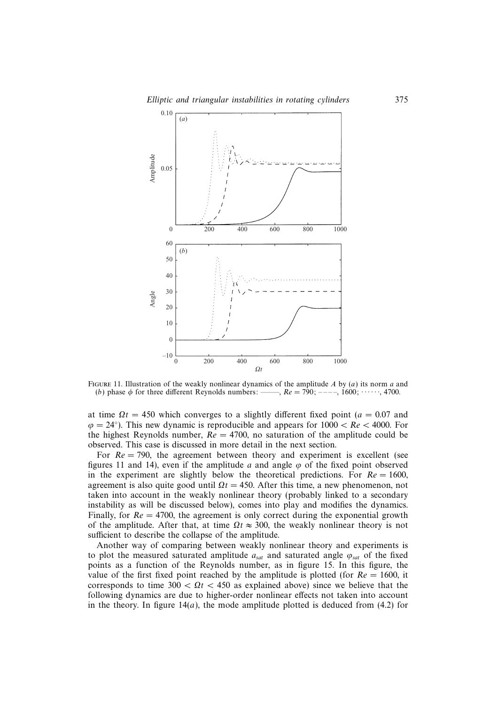

FIGURE 11. Illustration of the weakly nonlinear dynamics of the amplitude A by (a) its norm a and (b) phase  $\phi$  for three different Reynolds numbers: ——,  $Re = 790$ ; ----, 1600; ······, 4700.

at time  $\Omega t = 450$  which converges to a slightly different fixed point (a = 0.07 and  $\varphi = 24^{\circ}$ ). This new dynamic is reproducible and appears for  $1000 < Re < 4000$ . For the highest Reynolds number,  $Re = 4700$ , no saturation of the amplitude could be observed. This case is discussed in more detail in the next section.

For  $Re = 790$ , the agreement between theory and experiment is excellent (see figures 11 and 14), even if the amplitude a and angle  $\varphi$  of the fixed point observed in the experiment are slightly below the theoretical predictions. For  $Re = 1600$ , agreement is also quite good until  $\Omega t = 450$ . After this time, a new phenomenon, not taken into account in the weakly nonlinear theory (probably linked to a secondary instability as will be discussed below), comes into play and modifies the dynamics. Finally, for  $Re = 4700$ , the agreement is only correct during the exponential growth of the amplitude. After that, at time  $\Omega t \approx 300$ , the weakly nonlinear theory is not sufficient to describe the collapse of the amplitude.

Another way of comparing between weakly nonlinear theory and experiments is to plot the measured saturated amplitude  $a_{sat}$  and saturated angle  $\varphi_{sat}$  of the fixed points as a function of the Reynolds number, as in figure 15. In this figure, the value of the first fixed point reached by the amplitude is plotted (for  $Re = 1600$ , it corresponds to time  $300 < \Omega t < 450$  as explained above) since we believe that the following dynamics are due to higher-order nonlinear effects not taken into account in the theory. In figure  $14(a)$ , the mode amplitude plotted is deduced from (4.2) for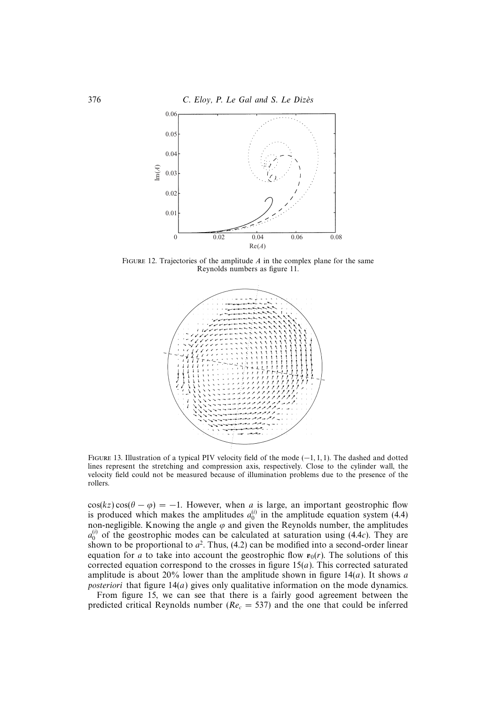



FIGURE 12. Trajectories of the amplitude  $A$  in the complex plane for the same Reynolds numbers as figure 11.



FIGURE 13. Illustration of a typical PIV velocity field of the mode  $(-1, 1, 1)$ . The dashed and dotted lines represent the stretching and compression axis, respectively. Close to the cylinder wall, the velocity field could not be measured because of illumination problems due to the presence of the rollers.

 $cos(kz) cos(\theta - \varphi) = -1$ . However, when a is large, an important geostrophic flow is produced which makes the amplitudes  $a_0^{(i)}$  in the amplitude equation system (4.4) non-negligible. Knowing the angle  $\varphi$  and given the Reynolds number, the amplitudes  $a_0^{(i)}$  of the geostrophic modes can be calculated at saturation using (4.4*c*). They are shown to be proportional to  $a^2$ . Thus, (4.2) can be modified into a second-order linear equation for a to take into account the geostrophic flow  $v_0(r)$ . The solutions of this corrected equation correspond to the crosses in figure  $15(a)$ . This corrected saturated amplitude is about 20% lower than the amplitude shown in figure 14(*a*). It shows a *posteriori* that figure  $14(a)$  gives only qualitative information on the mode dynamics.

From figure 15, we can see that there is a fairly good agreement between the predicted critical Reynolds number ( $Re<sub>c</sub> = 537$ ) and the one that could be inferred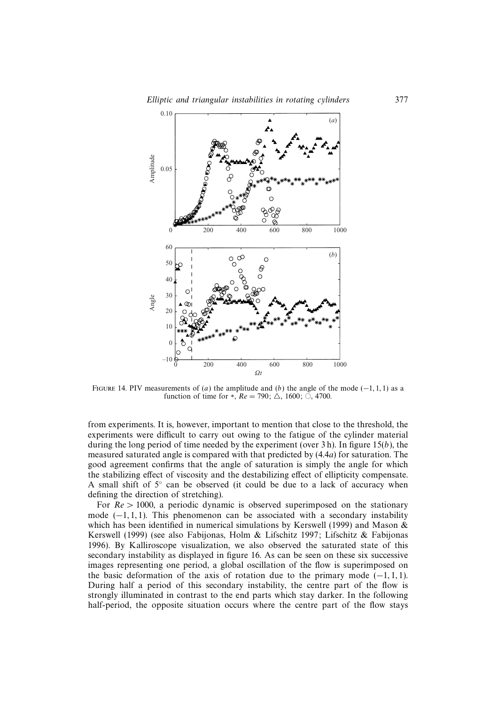

FIGURE 14. PIV measurements of (a) the amplitude and (b) the angle of the mode  $(-1, 1, 1)$  as a function of time for  $\ast$ ,  $Re = 790$ ;  $\triangle$ , 1600;  $\odot$ , 4700.

from experiments. It is, however, important to mention that close to the threshold, the experiments were difficult to carry out owing to the fatigue of the cylinder material during the long period of time needed by the experiment (over 3 h). In figure  $15(b)$ , the measured saturated angle is compared with that predicted by (4.4a) for saturation. The good agreement confirms that the angle of saturation is simply the angle for which the stabilizing effect of viscosity and the destabilizing effect of ellipticity compensate. A small shift of  $5°$  can be observed (it could be due to a lack of accuracy when defining the direction of stretching).

For  $Re > 1000$ , a periodic dynamic is observed superimposed on the stationary mode  $(-1, 1, 1)$ . This phenomenon can be associated with a secondary instability which has been identified in numerical simulations by Kerswell (1999) and Mason & Kerswell (1999) (see also Fabijonas, Holm & Lifschitz 1997; Lifschitz & Fabijonas 1996). By Kalliroscope visualization, we also observed the saturated state of this secondary instability as displayed in figure 16. As can be seen on these six successive images representing one period, a global oscillation of the flow is superimposed on the basic deformation of the axis of rotation due to the primary mode  $(-1, 1, 1)$ . During half a period of this secondary instability, the centre part of the flow is strongly illuminated in contrast to the end parts which stay darker. In the following half-period, the opposite situation occurs where the centre part of the flow stays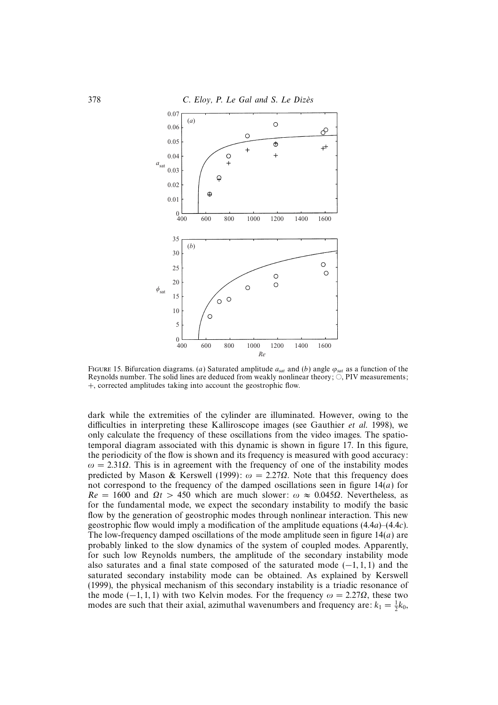

FIGURE 15. Bifurcation diagrams. (a) Saturated amplitude  $a_{sat}$  and (b) angle  $\varphi_{sat}$  as a function of the Reynolds number. The solid lines are deduced from weakly nonlinear theory;  $\circ$ , PIV measurements; +, corrected amplitudes taking into account the geostrophic flow.

dark while the extremities of the cylinder are illuminated. However, owing to the difficulties in interpreting these Kalliroscope images (see Gauthier et al. 1998), we only calculate the frequency of these oscillations from the video images. The spatiotemporal diagram associated with this dynamic is shown in figure 17. In this figure, the periodicity of the flow is shown and its frequency is measured with good accuracy:  $ω = 2.31Ω$ . This is in agreement with the frequency of one of the instability modes predicted by Mason & Kerswell (1999):  $\omega = 2.27\Omega$ . Note that this frequency does not correspond to the frequency of the damped oscillations seen in figure  $14(a)$  for  $Re = 1600$  and  $\Omega t > 450$  which are much slower:  $\omega \approx 0.045\Omega$ . Nevertheless, as for the fundamental mode, we expect the secondary instability to modify the basic flow by the generation of geostrophic modes through nonlinear interaction. This new geostrophic flow would imply a modification of the amplitude equations  $(4.4a)-(4.4c)$ . The low-frequency damped oscillations of the mode amplitude seen in figure  $14(a)$  are probably linked to the slow dynamics of the system of coupled modes. Apparently, for such low Reynolds numbers, the amplitude of the secondary instability mode also saturates and a final state composed of the saturated mode  $(-1, 1, 1)$  and the saturated secondary instability mode can be obtained. As explained by Kerswell (1999), the physical mechanism of this secondary instability is a triadic resonance of the mode (-1, 1, 1) with two Kelvin modes. For the frequency  $\omega = 2.27\Omega$ , these two modes are such that their axial, azimuthal wavenumbers and frequency are:  $k_1 = \frac{1}{2}k_0$ ,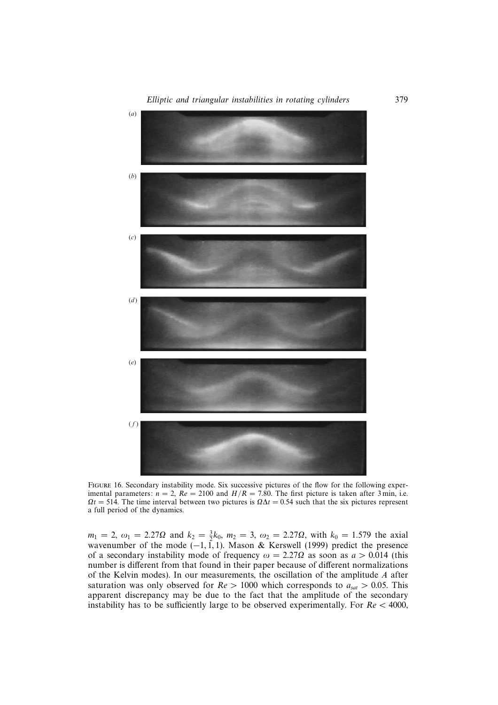

FIGURE 16. Secondary instability mode. Six successive pictures of the flow for the following experimental parameters:  $n = 2$ ,  $Re = 2100$  and  $H/R = 7.80$ . The first picture is taken after 3 min, i.e.  $\Omega t = 514$ . The time interval between two pictures is  $\Omega \Delta t = 0.54$  such that the six pictures represent a full period of the dynamics.

 $m_1 = 2, \omega_1 = 2.27\Omega$  and  $k_2 = \frac{3}{2}k_0, m_2 = 3, \omega_2 = 2.27\Omega$ , with  $k_0 = 1.579$  the axial wavenumber of the mode  $(-1, 1, 1)$ . Mason & Kerswell (1999) predict the presence of a secondary instability mode of frequency  $\omega = 2.27\Omega$  as soon as  $a > 0.014$  (this number is different from that found in their paper because of different normalizations of the Kelvin modes). In our measurements, the oscillation of the amplitude  $A$  after saturation was only observed for  $Re > 1000$  which corresponds to  $a<sub>sat</sub> > 0.05$ . This apparent discrepancy may be due to the fact that the amplitude of the secondary instability has to be sufficiently large to be observed experimentally. For  $Re < 4000$ ,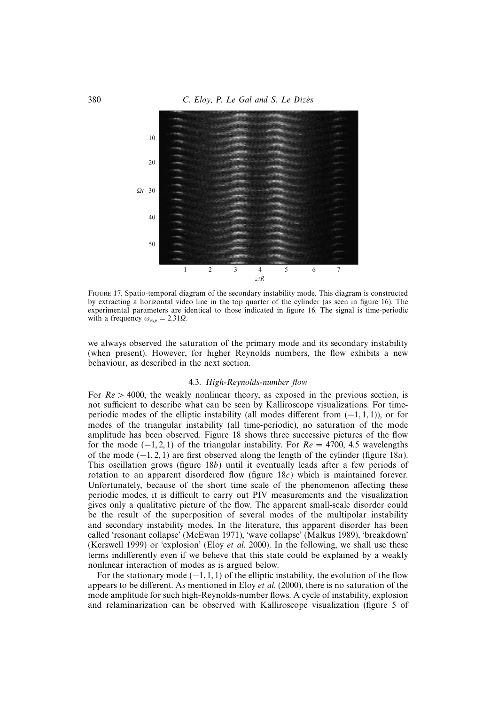

Figure 17. Spatio-temporal diagram of the secondary instability mode. This diagram is constructed by extracting a horizontal video line in the top quarter of the cylinder (as seen in figure 16). The experimental parameters are identical to those indicated in figure 16. The signal is time-periodic with a frequency  $\omega_{exp} = 2.31 \Omega$ .

we always observed the saturation of the primary mode and its secondary instability (when present). However, for higher Reynolds numbers, the flow exhibits a new behaviour, as described in the next section.

### 4.3. High-Reynolds-number flow

For  $Re > 4000$ , the weakly nonlinear theory, as exposed in the previous section, is not sufficient to describe what can be seen by Kalliroscope visualizations. For timeperiodic modes of the elliptic instability (all modes different from  $(-1, 1, 1)$ ), or for modes of the triangular instability (all time-periodic), no saturation of the mode amplitude has been observed. Figure 18 shows three successive pictures of the flow for the mode  $(-1, 2, 1)$  of the triangular instability. For  $Re = 4700, 4.5$  wavelengths of the mode  $(-1, 2, 1)$  are first observed along the length of the cylinder (figure 18a). This oscillation grows (figure 18b) until it eventually leads after a few periods of rotation to an apparent disordered flow (figure 18c) which is maintained forever. Unfortunately, because of the short time scale of the phenomenon affecting these periodic modes, it is difficult to carry out PIV measurements and the visualization gives only a qualitative picture of the flow. The apparent small-scale disorder could be the result of the superposition of several modes of the multipolar instability and secondary instability modes. In the literature, this apparent disorder has been called 'resonant collapse' (McEwan 1971), 'wave collapse' (Malkus 1989), 'breakdown' (Kerswell 1999) or 'explosion' (Eloy et al. 2000). In the following, we shall use these terms indifferently even if we believe that this state could be explained by a weakly nonlinear interaction of modes as is argued below.

For the stationary mode  $(-1, 1, 1)$  of the elliptic instability, the evolution of the flow appears to be different. As mentioned in Eloy et al. (2000), there is no saturation of the mode amplitude for such high-Reynolds-number flows. A cycle of instability, explosion and relaminarization can be observed with Kalliroscope visualization (figure 5 of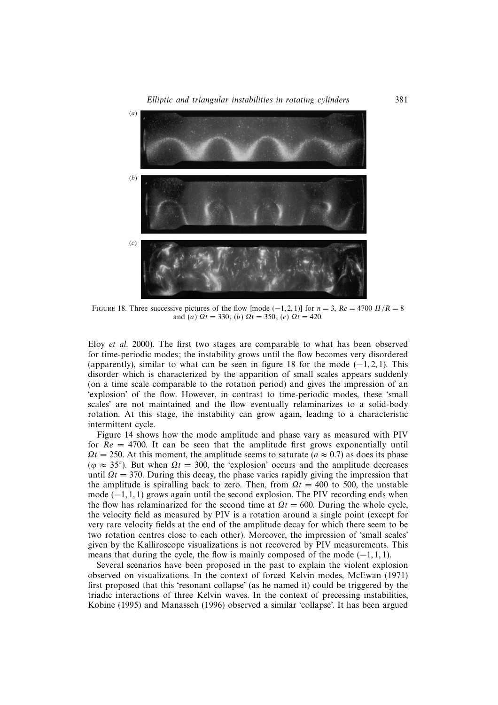Elliptic and triangular instabilities in rotating cylinders 381



FIGURE 18. Three successive pictures of the flow  $\text{mode } (-1, 2, 1)$  for  $n = 3$ ,  $Re = 4700$   $H/R = 8$ and (a)  $\Omega t = 330$ ; (b)  $\Omega t = 350$ ; (c)  $\Omega t = 420$ .

Eloy et al. 2000). The first two stages are comparable to what has been observed for time-periodic modes; the instability grows until the flow becomes very disordered (apparently), similar to what can be seen in figure 18 for the mode  $(-1, 2, 1)$ . This disorder which is characterized by the apparition of small scales appears suddenly (on a time scale comparable to the rotation period) and gives the impression of an 'explosion' of the flow. However, in contrast to time-periodic modes, these 'small scales' are not maintained and the flow eventually relaminarizes to a solid-body rotation. At this stage, the instability can grow again, leading to a characteristic intermittent cycle.

Figure 14 shows how the mode amplitude and phase vary as measured with PIV for  $Re = 4700$ . It can be seen that the amplitude first grows exponentially until  $\Omega t = 250$ . At this moment, the amplitude seems to saturate ( $a \approx 0.7$ ) as does its phase ( $\varphi \approx 35^{\circ}$ ). But when  $\Omega t = 300$ , the 'explosion' occurs and the amplitude decreases until  $\Omega t = 370$ . During this decay, the phase varies rapidly giving the impression that the amplitude is spiralling back to zero. Then, from  $\Omega t = 400$  to 500, the unstable mode  $(-1, 1, 1)$  grows again until the second explosion. The PIV recording ends when the flow has relaminarized for the second time at  $\Omega t = 600$ . During the whole cycle, the velocity field as measured by PIV is a rotation around a single point (except for very rare velocity fields at the end of the amplitude decay for which there seem to be two rotation centres close to each other). Moreover, the impression of 'small scales' given by the Kalliroscope visualizations is not recovered by PIV measurements. This means that during the cycle, the flow is mainly composed of the mode  $(-1, 1, 1)$ .

Several scenarios have been proposed in the past to explain the violent explosion observed on visualizations. In the context of forced Kelvin modes, McEwan (1971) first proposed that this 'resonant collapse' (as he named it) could be triggered by the triadic interactions of three Kelvin waves. In the context of precessing instabilities, Kobine (1995) and Manasseh (1996) observed a similar 'collapse'. It has been argued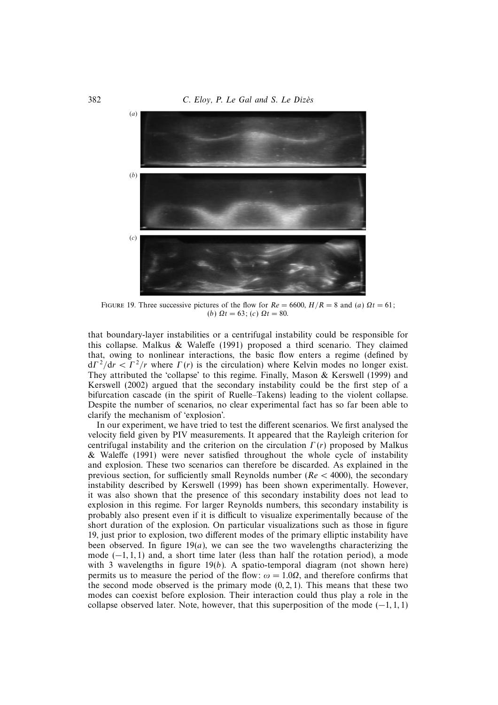382 C. Eloy, P. Le Gal and S. Le Dizès



FIGURE 19. Three successive pictures of the flow for  $Re = 6600$ ,  $H/R = 8$  and (a)  $\Omega t = 61$ ; (b)  $\Omega t = 63$ ; (c)  $\Omega t = 80$ .

that boundary-layer instabilities or a centrifugal instability could be responsible for this collapse. Malkus & Waleffe (1991) proposed a third scenario. They claimed that, owing to nonlinear interactions, the basic flow enters a regime (defined by  $d\Gamma^2/dr < \Gamma^2/r$  where  $\Gamma(r)$  is the circulation) where Kelvin modes no longer exist. They attributed the 'collapse' to this regime. Finally, Mason & Kerswell (1999) and Kerswell (2002) argued that the secondary instability could be the first step of a bifurcation cascade (in the spirit of Ruelle–Takens) leading to the violent collapse. Despite the number of scenarios, no clear experimental fact has so far been able to clarify the mechanism of 'explosion'.

In our experiment, we have tried to test the different scenarios. We first analysed the velocity field given by PIV measurements. It appeared that the Rayleigh criterion for centrifugal instability and the criterion on the circulation  $\Gamma(r)$  proposed by Malkus & Waleffe (1991) were never satisfied throughout the whole cycle of instability and explosion. These two scenarios can therefore be discarded. As explained in the previous section, for sufficiently small Reynolds number ( $Re < 4000$ ), the secondary instability described by Kerswell (1999) has been shown experimentally. However, it was also shown that the presence of this secondary instability does not lead to explosion in this regime. For larger Reynolds numbers, this secondary instability is probably also present even if it is difficult to visualize experimentally because of the short duration of the explosion. On particular visualizations such as those in figure 19, just prior to explosion, two different modes of the primary elliptic instability have been observed. In figure  $19(a)$ , we can see the two wavelengths characterizing the mode  $(-1, 1, 1)$  and, a short time later (less than half the rotation period), a mode with 3 wavelengths in figure  $19(b)$ . A spatio-temporal diagram (not shown here) permits us to measure the period of the flow:  $\omega = 1.0\Omega$ , and therefore confirms that the second mode observed is the primary mode  $(0, 2, 1)$ . This means that these two modes can coexist before explosion. Their interaction could thus play a role in the collapse observed later. Note, however, that this superposition of the mode  $(-1, 1, 1)$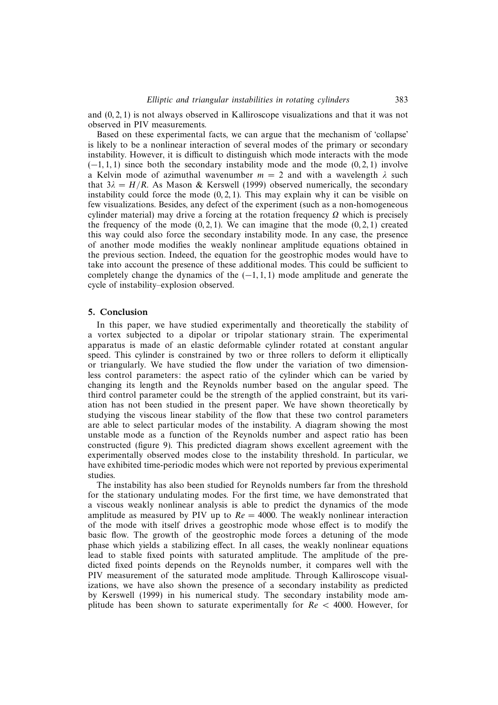and (0, 2, 1) is not always observed in Kalliroscope visualizations and that it was not observed in PIV measurements.

Based on these experimental facts, we can argue that the mechanism of 'collapse' is likely to be a nonlinear interaction of several modes of the primary or secondary instability. However, it is difficult to distinguish which mode interacts with the mode  $(-1, 1, 1)$  since both the secondary instability mode and the mode  $(0, 2, 1)$  involve a Kelvin mode of azimuthal wavenumber  $m = 2$  and with a wavelength  $\lambda$  such that  $3\lambda = H/R$ . As Mason & Kerswell (1999) observed numerically, the secondary instability could force the mode  $(0, 2, 1)$ . This may explain why it can be visible on few visualizations. Besides, any defect of the experiment (such as a non-homogeneous cylinder material) may drive a forcing at the rotation frequency  $\Omega$  which is precisely the frequency of the mode  $(0, 2, 1)$ . We can imagine that the mode  $(0, 2, 1)$  created this way could also force the secondary instability mode. In any case, the presence of another mode modifies the weakly nonlinear amplitude equations obtained in the previous section. Indeed, the equation for the geostrophic modes would have to take into account the presence of these additional modes. This could be sufficient to completely change the dynamics of the  $(-1, 1, 1)$  mode amplitude and generate the cycle of instability–explosion observed.

### 5. Conclusion

In this paper, we have studied experimentally and theoretically the stability of a vortex subjected to a dipolar or tripolar stationary strain. The experimental apparatus is made of an elastic deformable cylinder rotated at constant angular speed. This cylinder is constrained by two or three rollers to deform it elliptically or triangularly. We have studied the flow under the variation of two dimensionless control parameters: the aspect ratio of the cylinder which can be varied by changing its length and the Reynolds number based on the angular speed. The third control parameter could be the strength of the applied constraint, but its variation has not been studied in the present paper. We have shown theoretically by studying the viscous linear stability of the flow that these two control parameters are able to select particular modes of the instability. A diagram showing the most unstable mode as a function of the Reynolds number and aspect ratio has been constructed (figure 9). This predicted diagram shows excellent agreement with the experimentally observed modes close to the instability threshold. In particular, we have exhibited time-periodic modes which were not reported by previous experimental studies.

The instability has also been studied for Reynolds numbers far from the threshold for the stationary undulating modes. For the first time, we have demonstrated that a viscous weakly nonlinear analysis is able to predict the dynamics of the mode amplitude as measured by PIV up to  $Re = 4000$ . The weakly nonlinear interaction of the mode with itself drives a geostrophic mode whose effect is to modify the basic flow. The growth of the geostrophic mode forces a detuning of the mode phase which yields a stabilizing effect. In all cases, the weakly nonlinear equations lead to stable fixed points with saturated amplitude. The amplitude of the predicted fixed points depends on the Reynolds number, it compares well with the PIV measurement of the saturated mode amplitude. Through Kalliroscope visualizations, we have also shown the presence of a secondary instability as predicted by Kerswell (1999) in his numerical study. The secondary instability mode amplitude has been shown to saturate experimentally for  $Re < 4000$ . However, for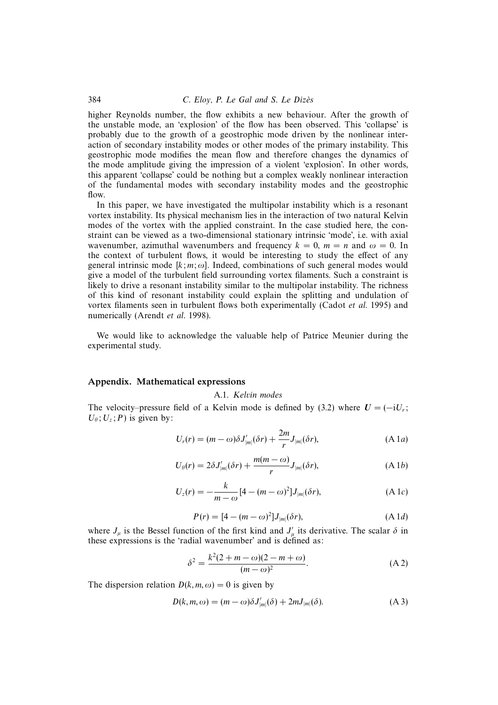higher Reynolds number, the flow exhibits a new behaviour. After the growth of the unstable mode, an 'explosion' of the flow has been observed. This 'collapse' is probably due to the growth of a geostrophic mode driven by the nonlinear interaction of secondary instability modes or other modes of the primary instability. This geostrophic mode modifies the mean flow and therefore changes the dynamics of the mode amplitude giving the impression of a violent 'explosion'. In other words, this apparent 'collapse' could be nothing but a complex weakly nonlinear interaction of the fundamental modes with secondary instability modes and the geostrophic flow.

In this paper, we have investigated the multipolar instability which is a resonant vortex instability. Its physical mechanism lies in the interaction of two natural Kelvin modes of the vortex with the applied constraint. In the case studied here, the constraint can be viewed as a two-dimensional stationary intrinsic 'mode', i.e. with axial wavenumber, azimuthal wavenumbers and frequency  $k = 0$ ,  $m = n$  and  $\omega = 0$ . In the context of turbulent flows, it would be interesting to study the effect of any general intrinsic mode  $[k; m; \omega]$ . Indeed, combinations of such general modes would give a model of the turbulent field surrounding vortex filaments. Such a constraint is likely to drive a resonant instability similar to the multipolar instability. The richness of this kind of resonant instability could explain the splitting and undulation of vortex filaments seen in turbulent flows both experimentally (Cadot et al. 1995) and numerically (Arendt et al. 1998).

We would like to acknowledge the valuable help of Patrice Meunier during the experimental study.

#### Appendix. Mathematical expressions

A.1. Kelvin modes

The velocity–pressure field of a Kelvin mode is defined by (3.2) where  $U = (-iU_r;$  $U_{\theta}$ ;  $U_z$ ; P) is given by:

$$
U_r(r) = (m - \omega)\delta J'_{|m|}(\delta r) + \frac{2m}{r} J_{|m|}(\delta r), \qquad (A 1a)
$$

$$
U_{\theta}(r) = 2\delta J'_{|m|}(\delta r) + \frac{m(m-\omega)}{r} J_{|m|}(\delta r), \qquad (A 1b)
$$

$$
U_z(r) = -\frac{k}{m - \omega} \left[4 - (m - \omega)^2\right] J_{|m|}(\delta r),\tag{A1c}
$$

$$
P(r) = [4 - (m - \omega)^2]J_{|m|}(\delta r), \tag{A1d}
$$

where  $J_{\mu}$  is the Bessel function of the first kind and  $J_{\mu}$  its derivative. The scalar  $\delta$  in these expressions is the 'radial wavenumber' and is defined as:

$$
\delta^2 = \frac{k^2(2+m-\omega)(2-m+\omega)}{(m-\omega)^2}.
$$
 (A2)

The dispersion relation  $D(k, m, \omega) = 0$  is given by

$$
D(k, m, \omega) = (m - \omega)\delta J'_{|m|}(\delta) + 2mJ_{|m|}(\delta). \tag{A3}
$$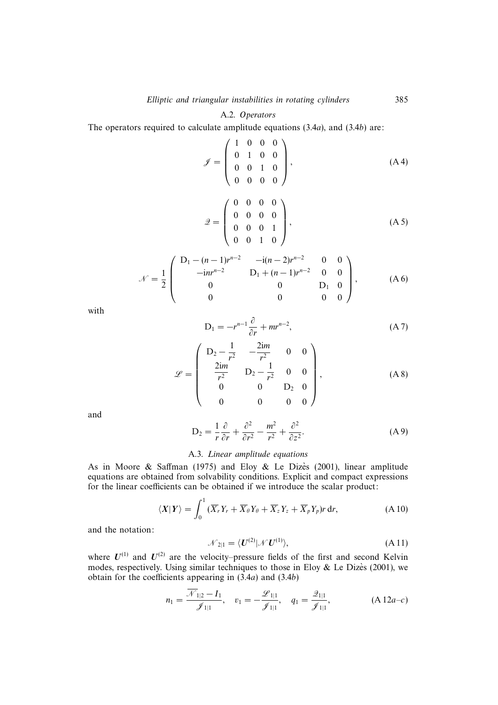# A.2. Operators

The operators required to calculate amplitude equations (3.4a), and (3.4b) are:

$$
\mathscr{J} = \begin{pmatrix} 1 & 0 & 0 & 0 \\ 0 & 1 & 0 & 0 \\ 0 & 0 & 1 & 0 \\ 0 & 0 & 0 & 0 \end{pmatrix}, \tag{A4}
$$

$$
\mathcal{Q} = \left( \begin{array}{cccc} 0 & 0 & 0 & 0 \\ 0 & 0 & 0 & 0 \\ 0 & 0 & 0 & 1 \\ 0 & 0 & 1 & 0 \end{array} \right), \tag{A5}
$$

$$
\mathcal{N} = \frac{1}{2} \begin{pmatrix} D_1 - (n-1)r^{n-2} & -i(n-2)r^{n-2} & 0 & 0 \\ -inr^{n-2} & D_1 + (n-1)r^{n-2} & 0 & 0 \\ 0 & 0 & D_1 & 0 \\ 0 & 0 & 0 & 0 \end{pmatrix},
$$
 (A6)

with

$$
D_1 = -r^{n-1} \frac{\partial}{\partial r} + mr^{n-2}, \tag{A.7}
$$

$$
\mathcal{L} = \begin{pmatrix} D_2 - \frac{1}{r^2} & -\frac{2im}{r^2} & 0 & 0 \\ \frac{2im}{r^2} & D_2 - \frac{1}{r^2} & 0 & 0 \\ 0 & 0 & D_2 & 0 \\ 0 & 0 & 0 & 0 \end{pmatrix},
$$
 (A 8)

and

$$
D_2 = \frac{1}{r} \frac{\partial}{\partial r} + \frac{\partial^2}{\partial r^2} - \frac{m^2}{r^2} + \frac{\partial^2}{\partial z^2}.
$$
 (A9)

# A.3. Linear amplitude equations

As in Moore & Saffman (1975) and Eloy & Le Dizès (2001), linear amplitude equations are obtained from solvability conditions. Explicit and compact expressions for the linear coefficients can be obtained if we introduce the scalar product:

$$
\langle X|Y\rangle = \int_0^1 (\overline{X}_r Y_r + \overline{X}_\theta Y_\theta + \overline{X}_z Y_z + \overline{X}_p Y_p)r \,dr,\tag{A.10}
$$

and the notation:

$$
\mathcal{N}_{2|1} = \langle \mathbf{U}^{(2)} | \mathcal{N} \mathbf{U}^{(1)} \rangle, \tag{A11}
$$

where  $U^{(1)}$  and  $U^{(2)}$  are the velocity–pressure fields of the first and second Kelvin modes, respectively. Using similar techniques to those in Eloy  $\&$  Le Dizès (2001), we obtain for the coefficients appearing in  $(3.4a)$  and  $(3.4b)$ 

$$
n_1 = \frac{\overline{\mathcal{N}}_{1|2} - I_1}{\mathcal{J}_{1|1}}, \quad v_1 = -\frac{\mathcal{L}_{1|1}}{\mathcal{J}_{1|1}}, \quad q_1 = \frac{\mathcal{Q}_{1|1}}{\mathcal{J}_{1|1}}, \quad (A 12a - c)
$$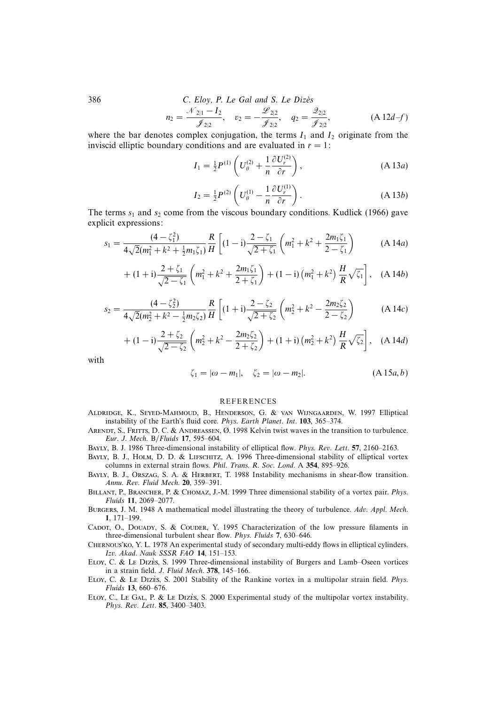386 C. Eloy, P. Le Gal and S. Le Diz`es

$$
n_2 = \frac{\mathcal{N}_{2|1} - I_2}{\mathcal{J}_{2|2}}, \quad v_2 = -\frac{\mathcal{L}_{2|2}}{\mathcal{J}_{2|2}}, \quad q_2 = \frac{\mathcal{Z}_{2|2}}{\mathcal{J}_{2|2}}, \quad (A \, 12d - f)
$$

where the bar denotes complex conjugation, the terms  $I_1$  and  $I_2$  originate from the inviscid elliptic boundary conditions and are evaluated in  $r = 1$ :

$$
I_1 = \frac{1}{2} P^{(1)} \left( U_\theta^{(2)} + \frac{1}{n} \frac{\partial U_r^{(2)}}{\partial r} \right), \tag{A13a}
$$

$$
I_2 = \frac{1}{2} P^{(2)} \left( U_\theta^{(1)} - \frac{1}{n} \frac{\partial U_r^{(1)}}{\partial r} \right). \tag{A.13b}
$$

The terms  $s_1$  and  $s_2$  come from the viscous boundary conditions. Kudlick (1966) gave explicit expressions:

$$
s_1 = \frac{(4 - \zeta_1^2)}{4\sqrt{2}(m_1^2 + k^2 + \frac{1}{2}m_1\zeta_1)}\frac{R}{H}\left[ (1 - i)\frac{2 - \zeta_1}{\sqrt{2 + \zeta_1}} \left( m_1^2 + k^2 + \frac{2m_1\zeta_1}{2 - \zeta_1} \right) \right] \tag{A.14a}
$$

$$
+(1+i)\frac{2+\zeta_1}{\sqrt{2-\zeta_1}}\left(m_1^2+k^2+\frac{2m_1\zeta_1}{2+\zeta_1}\right)+(1-i)\left(m_1^2+k^2\right)\frac{H}{R}\sqrt{\zeta_1}\right], \quad (A\ 14b)
$$

$$
s_2 = \frac{(4 - \zeta_2^2)}{4\sqrt{2}(m_2^2 + k^2 - \frac{1}{2}m_2\zeta_2)}\frac{R}{H}\left[ (1 + i)\frac{2 - \zeta_2}{\sqrt{2 + \zeta_2}} \left( m_2^2 + k^2 - \frac{2m_2\zeta_2}{2 - \zeta_2} \right) \right]
$$
 (A 14*c*)

$$
+(1-i)\frac{2+\zeta_2}{\sqrt{2-\zeta_2}}\left(m_2^2+k^2-\frac{2m_2\zeta_2}{2+\zeta_2}\right)+(1+i)\left(m_2^2+k^2\right)\frac{H}{R}\sqrt{\zeta_2}\right], \quad \text{(A 14d)}
$$

with

$$
\zeta_1 = |\omega - m_1|, \quad \zeta_2 = |\omega - m_2|.
$$
 (A 15*a*,*b*)

#### REFERENCES

- Aldridge, K., Seyed-Mahmoud, B., Henderson, G. & van Wijngaarden, W. 1997 Elliptical instability of the Earth's fluid core. Phys. Earth Planet. Int. **103**, 365–374.
- ARENDT, S., FRITTS, D. C. & ANDREASSEN, Ø. 1998 Kelvin twist waves in the transition to turbulence. Eur. J. Mech. B/Fluids **17**, 595–604.

Bayly, B. J. 1986 Three-dimensional instability of elliptical flow. Phys. Rev. Lett. **57**, 2160–2163.

- BAYLY, B. J., HOLM, D. D. & LIFSCHITZ, A. 1996 Three-dimensional stability of elliptical vortex columns in external strain flows. Phil. Trans. R. Soc. Lond. A **354**, 895–926.
- BAYLY, B. J., ORSZAG, S. A. & HERBERT, T. 1988 Instability mechanisms in shear-flow transition. Annu. Rev. Fluid Mech. **20**, 359–391.
- BILLANT, P., BRANCHER, P. & CHOMAZ, J.-M. 1999 Three dimensional stability of a vortex pair. Phys. Fluids **11**, 2069–2077.
- Burgers, J. M. 1948 A mathematical model illustrating the theory of turbulence. Adv. Appl. Mech. **1**, 171–199.

CADOT, O., DOUADY, S. & COUDER, Y. 1995 Characterization of the low pressure filaments in three-dimensional turbulent shear flow. Phys. Fluids **7**, 630–646.

Chernous'ko, Y. L. 1978 An experimental study of secondary multi-eddy flows in elliptical cylinders. Izv. Akad. Nauk SSSR FAO **14**, 151–153.

ELOY, C. & Le DIzès, S. 1999 Three-dimensional instability of Burgers and Lamb-Oseen vortices in a strain field. J. Fluid Mech. **378**, 145–166.

- ELOY, C. & LE DIZES, S. 2001 Stability of the Rankine vortex in a multipolar strain field. Phys. Fluids **13**, 660–676.
- ELOY, C., LE GAL, P. & LE DIZES, S. 2000 Experimental study of the multipolar vortex instability. Phys. Rev. Lett. **85**, 3400–3403.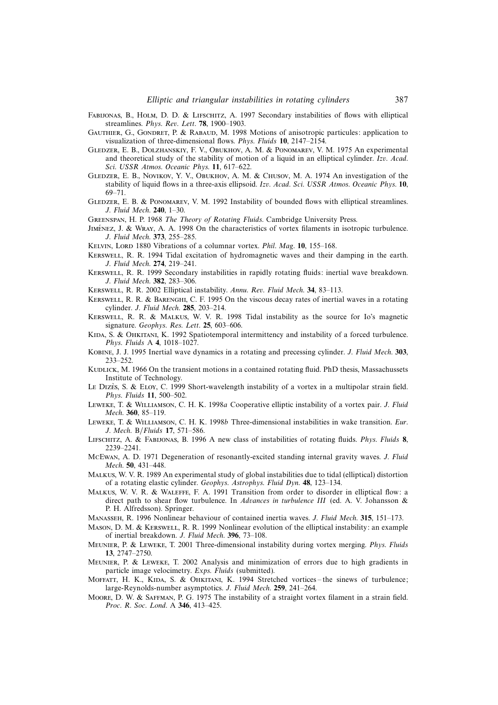- Fabijonas, B., Holm, D. D. & Lifschitz, A. 1997 Secondary instabilities of flows with elliptical streamlines. Phys. Rev. Lett. **78**, 1900–1903.
- GAUTHIER, G., GONDRET, P. & RABAUD, M. 1998 Motions of anisotropic particules: application to visualization of three-dimensional flows. Phys. Fluids **10**, 2147–2154.
- Gledzer, E. B., Dolzhanskiy, F. V., Obukhov, A. M. & Ponomarev, V. M. 1975 An experimental and theoretical study of the stability of motion of a liquid in an elliptical cylinder. Izv. Acad. Sci. USSR Atmos. Oceanic Phys. **11**, 617–622.
- Gledzer, E. B., Novikov, Y. V., Obukhov, A. M. & Chusov, M. A. 1974 An investigation of the stability of liquid flows in a three-axis ellipsoid. Izv. Acad. Sci. USSR Atmos. Oceanic Phys. **10**, 69–71.
- GLEDZER, E. B. & PONOMAREV, V. M. 1992 Instability of bounded flows with elliptical streamlines. J. Fluid Mech. **240**, 1–30.
- Greenspan, H. P. 1968 The Theory of Rotating Fluids. Cambridge University Press.
- JIMÉNEZ, J. & WRAY, A. A. 1998 On the characteristics of vortex filaments in isotropic turbulence. J. Fluid Mech. **373**, 255–285.
- KELVIN, LORD 1880 Vibrations of a columnar vortex. Phil. Mag. 10, 155-168.
- Kerswell, R. R. 1994 Tidal excitation of hydromagnetic waves and their damping in the earth. J. Fluid Mech. **274**, 219–241.
- Kerswell, R. R. 1999 Secondary instabilities in rapidly rotating fluids: inertial wave breakdown. J. Fluid Mech. **382**, 283–306.
- Kerswell, R. R. 2002 Elliptical instability. Annu. Rev. Fluid Mech. **34**, 83–113.
- Kerswell, R. R. & Barenghi, C. F. 1995 On the viscous decay rates of inertial waves in a rotating cylinder. J. Fluid Mech. **285**, 203–214.
- Kerswell, R. R. & Malkus, W. V. R. 1998 Tidal instability as the source for Io's magnetic signature. Geophys. Res. Lett. **25**, 603–606.
- KIDA, S. & OHKITANI, K. 1992 Spatiotemporal intermittency and instability of a forced turbulence. Phys. Fluids A **4**, 1018–1027.

Kobine, J. J. 1995 Inertial wave dynamics in a rotating and precessing cylinder. J. Fluid Mech. **303**, 233–252.

- KUDLICK, M. 1966 On the transient motions in a contained rotating fluid. PhD thesis, Massachussets Institute of Technology.
- Le Dizès, S. & ELoy, C. 1999 Short-wavelength instability of a vortex in a multipolar strain field. Phys. Fluids **11**, 500–502.
- Leweke, T. & Williamson, C. H. K. 1998a Cooperative elliptic instability of a vortex pair. J. Fluid Mech. **360**, 85–119.
- LEWEKE, T. & WILLIAMSON, C. H. K. 1998b Three-dimensional instabilities in wake transition. Eur. J. Mech. B/Fluids **17**, 571–586.
- Lifschitz, A. & Fabijonas, B. 1996 A new class of instabilities of rotating fluids. Phys. Fluids **8**, 2239–2241.
- McEwan, A. D. 1971 Degeneration of resonantly-excited standing internal gravity waves. J. Fluid Mech. **50**, 431–448.
- Malkus, W. V. R. 1989 An experimental study of global instabilities due to tidal (elliptical) distortion of a rotating elastic cylinder. Geophys. Astrophys. Fluid Dyn. **48**, 123–134.
- Malkus, W. V. R. & Waleffe, F. A. 1991 Transition from order to disorder in elliptical flow: a direct path to shear flow turbulence. In Advances in turbulence III (ed. A. V. Johansson & P. H. Alfredsson). Springer.
- Manasseh, R. 1996 Nonlinear behaviour of contained inertia waves. J. Fluid Mech. **315**, 151–173.
- Mason, D. M. & Kerswell, R. R. 1999 Nonlinear evolution of the elliptical instability: an example of inertial breakdown. J. Fluid Mech. **396**, 73–108.
- Meunier, P. & Leweke, T. 2001 Three-dimensional instability during vortex merging. Phys. Fluids **13**, 2747–2750.
- Meunier, P. & Leweke, T. 2002 Analysis and minimization of errors due to high gradients in particle image velocimetry. Exps. Fluids (submitted).
- MOFFATT, H. K., KIDA, S. & OHKITANI, K. 1994 Stretched vortices the sinews of turbulence; large-Reynolds-number asymptotics. J. Fluid Mech. **259**, 241–264.
- Moore, D. W. & Saffman, P. G. 1975 The instability of a straight vortex filament in a strain field. Proc. R. Soc. Lond. A **346**, 413–425.